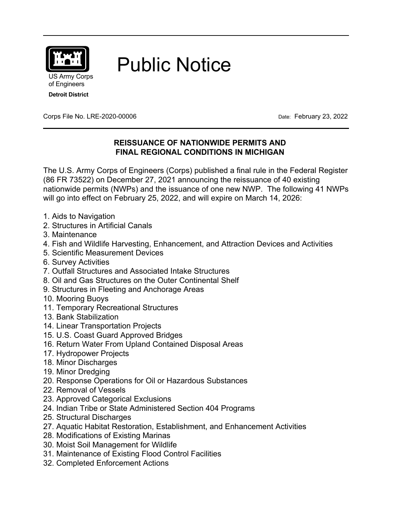

Public Notice

US Army Corps of Engineers **Detroit District**

Corps File No. LRE-2020-00006 Date: February 23, 2022

# **REISSUANCE OF NATIONWIDE PERMITS AND FINAL REGIONAL CONDITIONS IN MICHIGAN**

The U.S. Army Corps of Engineers (Corps) published a final rule in the Federal Register (86 FR 73522) on December 27, 2021 announcing the reissuance of 40 existing nationwide permits (NWPs) and the issuance of one new NWP. The following 41 NWPs will go into effect on February 25, 2022, and will expire on March 14, 2026:

- 1. Aids to Navigation
- 2. Structures in Artificial Canals
- 3. Maintenance
- 4. Fish and Wildlife Harvesting, Enhancement, and Attraction Devices and Activities
- 5. Scientific Measurement Devices
- 6. Survey Activities
- 7. Outfall Structures and Associated Intake Structures
- 8. Oil and Gas Structures on the Outer Continental Shelf
- 9. Structures in Fleeting and Anchorage Areas
- 10. Mooring Buoys
- 11. Temporary Recreational Structures
- 13. Bank Stabilization
- 14. Linear Transportation Projects
- 15. U.S. Coast Guard Approved Bridges
- 16. Return Water From Upland Contained Disposal Areas
- 17. Hydropower Projects
- 18. Minor Discharges
- 19. Minor Dredging
- 20. Response Operations for Oil or Hazardous Substances
- 22. Removal of Vessels
- 23. Approved Categorical Exclusions
- 24. Indian Tribe or State Administered Section 404 Programs
- 25. Structural Discharges
- 27. Aquatic Habitat Restoration, Establishment, and Enhancement Activities
- 28. Modifications of Existing Marinas
- 30. Moist Soil Management for Wildlife
- 31. Maintenance of Existing Flood Control Facilities
- 32. Completed Enforcement Actions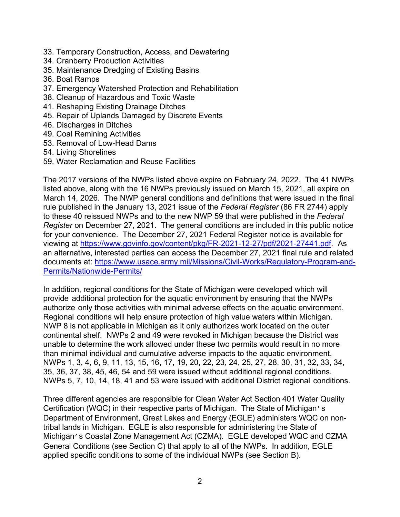- 33. Temporary Construction, Access, and Dewatering
- 34. Cranberry Production Activities
- 35. Maintenance Dredging of Existing Basins
- 36. Boat Ramps
- 37. Emergency Watershed Protection and Rehabilitation
- 38. Cleanup of Hazardous and Toxic Waste
- 41. Reshaping Existing Drainage Ditches
- 45. Repair of Uplands Damaged by Discrete Events
- 46. Discharges in Ditches
- 49. Coal Remining Activities
- 53. Removal of Low-Head Dams
- 54. Living Shorelines
- 59. Water Reclamation and Reuse Facilities

The 2017 versions of the NWPs listed above expire on February 24, 2022. The 41 NWPs listed above, along with the 16 NWPs previously issued on March 15, 2021, all expire on March 14, 2026. The NWP general conditions and definitions that were issued in the final rule published in the January 13, 2021 issue of the *Federal Register* (86 FR 2744) apply to these 40 reissued NWPs and to the new NWP 59 that were published in the *Federal Register* on December 27, 2021. The general conditions are included in this public notice for your convenience. The December 27, 2021 Federal Register notice is available for viewing at https://www.govinfo.gov/content/pkg/FR-2021-12-27/pdf/2021-27441.pdf. As an alternative, interested parties can access the December 27, 2021 final rule and related documents at: https://www.usace.army.mil/Missions/Civil-Works/Regulatory-Program-and-Permits/Nationwide-Permits/

In addition, regional conditions for the State of Michigan were developed which will provide additional protection for the aquatic environment by ensuring that the NWPs authorize only those activities with minimal adverse effects on the aquatic environment. Regional conditions will help ensure protection of high value waters within Michigan. NWP 8 is not applicable in Michigan as it only authorizes work located on the outer continental shelf. NWPs 2 and 49 were revoked in Michigan because the District was unable to determine the work allowed under these two permits would result in no more than minimal individual and cumulative adverse impacts to the aquatic environment. NWPs 1, 3, 4, 6, 9, 11, 13, 15, 16, 17, 19, 20, 22, 23, 24, 25, 27, 28, 30, 31, 32, 33, 34, 35, 36, 37, 38, 45, 46, 54 and 59 were issued without additional regional conditions. NWPs 5, 7, 10, 14, 18, 41 and 53 were issued with additional District regional conditions.

Three different agencies are responsible for Clean Water Act Section 401 Water Quality Certification (WQC) in their respective parts of Michigan. The State of Michigan's Department of Environment, Great Lakes and Energy (EGLE) administers WQC on nontribal lands in Michigan. EGLE is also responsible for administering the State of Michigan's Coastal Zone Management Act (CZMA). EGLE developed WQC and CZMA General Conditions (see Section C) that apply to all of the NWPs. In addition, EGLE applied specific conditions to some of the individual NWPs (see Section B).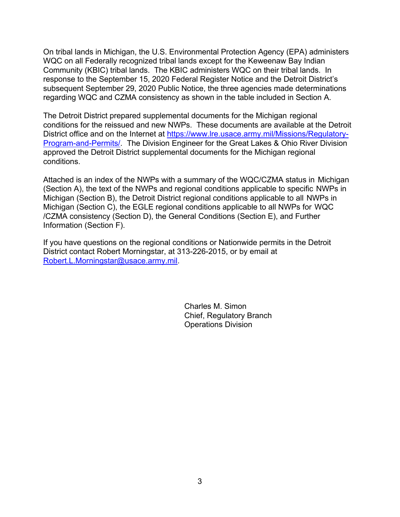On tribal lands in Michigan, the U.S. Environmental Protection Agency (EPA) administers WQC on all Federally recognized tribal lands except for the Keweenaw Bay Indian Community (KBIC) tribal lands. The KBIC administers WQC on their tribal lands. In response to the September 15, 2020 Federal Register Notice and the Detroit District's subsequent September 29, 2020 Public Notice, the three agencies made determinations regarding WQC and CZMA consistency as shown in the table included in Section A.

The Detroit District prepared supplemental documents for the Michigan regional conditions for the reissued and new NWPs. These documents are available at the Detroit District office and on the Internet at https://www.lre.usace.army.mil/Missions/Regulatory-Program-and-Permits/. The Division Engineer for the Great Lakes & Ohio River Division approved the Detroit District supplemental documents for the Michigan regional conditions.

Attached is an index of the NWPs with a summary of the WQC/CZMA status in Michigan (Section A), the text of the NWPs and regional conditions applicable to specific NWPs in Michigan (Section B), the Detroit District regional conditions applicable to all NWPs in Michigan (Section C), the EGLE regional conditions applicable to all NWPs for WQC /CZMA consistency (Section D), the General Conditions (Section E), and Further Information (Section F).

If you have questions on the regional conditions or Nationwide permits in the Detroit District contact Robert Morningstar, at 313-226-2015, or by email at Robert.L.Morningstar@usace.army.mil.

> Charles M. Simon Chief, Regulatory Branch Operations Division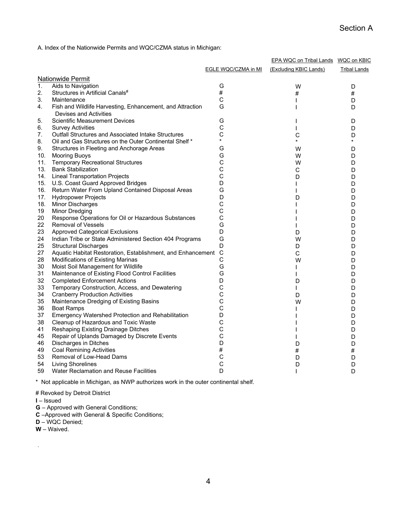A. Index of the Nationwide Permits and WQC/CZMA status in Michigan:

|                   |                                                                                     |                     | EPA WQC on Tribal Lands WQC on KBIC |                     |
|-------------------|-------------------------------------------------------------------------------------|---------------------|-------------------------------------|---------------------|
|                   |                                                                                     | EGLE WQC/CZMA in MI | (Excluding KBIC Lands)              | <b>Tribal Lands</b> |
| Nationwide Permit |                                                                                     |                     |                                     |                     |
| $\mathbf{1}$ .    | Aids to Navigation                                                                  | G                   | W                                   | D                   |
| 2.                | Structures in Artificial Canals#                                                    | $\#$                | #                                   | #                   |
| 3.                | Maintenance                                                                         | $\mathsf{C}$        |                                     | D                   |
| 4.                | Fish and Wildlife Harvesting, Enhancement, and Attraction<br>Devises and Activities | G                   |                                     | D                   |
| 5.                | <b>Scientific Measurement Devices</b>                                               | G                   |                                     | D                   |
| 6.                | <b>Survey Activities</b>                                                            | С                   |                                     | D                   |
| 7.                | <b>Outfall Structures and Associated Intake Structures</b>                          | C                   | C                                   | D                   |
| 8.                | Oil and Gas Structures on the Outer Continental Shelf *                             | ¥.                  |                                     |                     |
| 9.                | Structures in Fleeting and Anchorage Areas                                          | G                   | W                                   | D                   |
| 10.               | <b>Mooring Buoys</b>                                                                | G                   | W                                   | D                   |
| 11.               | <b>Temporary Recreational Structures</b>                                            | C                   | W                                   | D                   |
| 13.               | <b>Bank Stabilization</b>                                                           | C                   | С                                   | D                   |
| 14.               | <b>Lineal Transportation Projects</b>                                               | C                   | D                                   | D                   |
| 15.               | U.S. Coast Guard Approved Bridges                                                   | D                   |                                     | D                   |
| 16.               | Return Water From Upland Contained Disposal Areas                                   | G                   |                                     | D                   |
| 17.               | <b>Hydropower Projects</b>                                                          | D                   | D                                   | D                   |
| 18.               | <b>Minor Discharges</b>                                                             | С                   |                                     | D                   |
| 19                | <b>Minor Dredging</b>                                                               | C                   |                                     | D                   |
| 20                | Response Operations for Oil or Hazardous Substances                                 | C                   |                                     | D                   |
| 22                | <b>Removal of Vessels</b>                                                           | G                   |                                     | D                   |
| 23                | <b>Approved Categorical Exclusions</b>                                              | D                   | D                                   | D                   |
| 24                | Indian Tribe or State Administered Section 404 Programs                             | G                   | W                                   | D                   |
| 25                | <b>Structural Discharges</b>                                                        | D                   | D                                   | D                   |
| 27                | Aquatic Habitat Restoration, Establishment, and Enhancement                         | $\mathsf{C}$        | C                                   | D                   |
| 28                | Modifications of Existing Marinas                                                   | C                   | W                                   | D                   |
| 30                | Moist Soil Management for Wildlife                                                  | G                   |                                     | D                   |
| 31                | Maintenance of Existing Flood Control Facilities                                    | G                   |                                     | D                   |
| 32                | <b>Completed Enforcement Actions</b>                                                | D                   | D                                   | D                   |
| 33                | Temporary Construction, Access, and Dewatering                                      | С                   | L                                   | D                   |
| 34                | <b>Cranberry Production Activities</b>                                              | C                   | D                                   | D                   |
| 35                | Maintenance Dredging of Existing Basins                                             | C                   | W                                   | D                   |
| 36                | <b>Boat Ramps</b>                                                                   | C                   |                                     | D                   |
| 37                | Emergency Watershed Protection and Rehabilitation                                   | D                   |                                     | D                   |
| 38                | Cleanup of Hazardous and Toxic Waste                                                | C                   |                                     | D                   |
| 41                | Reshaping Existing Drainage Ditches                                                 | C                   |                                     | D                   |
| 45                | Repair of Uplands Damaged by Discrete Events                                        | С                   |                                     | D                   |
| 46                | Discharges in Ditches                                                               | D                   | D                                   | D                   |
| 49                | <b>Coal Remining Activities</b>                                                     | #                   | #                                   | #                   |
| 53                | Removal of Low-Head Dams                                                            | С                   | D                                   | D                   |
| 54                | <b>Living Shorelines</b>                                                            | $\mathsf{C}$        | D                                   | D                   |
| 59                | Water Reclamation and Reuse Facilities                                              | D                   | ı                                   | D                   |
|                   |                                                                                     |                     |                                     |                     |

\* Not applicable in Michigan, as NWP authorizes work in the outer continental shelf.

# Revoked by Detroit District

**I** – Issued

- **G**  Approved with General Conditions;
- **C** –Approved with General & Specific Conditions;
- **D** WQC Denied;
- **W** Waived.

.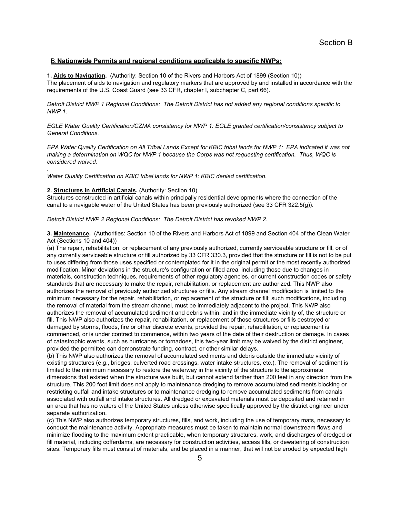# B. **Nationwide Permits and regional conditions applicable to specific NWPs:**

**1. Aids to Navigation.** (Authority: Section 10 of the Rivers and Harbors Act of 1899 (Section 10)) The placement of aids to navigation and regulatory markers that are approved by and installed in accordance with the requirements of the U.S. Coast Guard (see 33 CFR, chapter I, subchapter C, part 66).

*Detroit District NWP 1 Regional Conditions: The Detroit District has not added any regional conditions specific to NWP 1.* 

*EGLE Water Quality Certification/CZMA consistency for NWP 1: EGLE granted certification/consistency subject to General Conditions.* 

*EPA Water Quality Certification on All Tribal Lands Except for KBIC tribal lands for NWP 1: EPA indicated it was not making a determination on WQC for NWP 1 because the Corps was not requesting certification. Thus, WQC is considered waived.* 

*Water Quality Certification on KBIC tribal lands for NWP 1: KBIC denied certification.* 

#### **2. Structures in Artificial Canals.** (Authority: Section 10)

*.* 

Structures constructed in artificial canals within principally residential developments where the connection of the canal to a navigable water of the United States has been previously authorized (see 33 CFR 322.5(g)).

*Detroit District NWP 2 Regional Conditions: The Detroit District has revoked NWP 2.* 

**3. Maintenance.** (Authorities: Section 10 of the Rivers and Harbors Act of 1899 and Section 404 of the Clean Water Act (Sections 10 and 404))

(a) The repair, rehabilitation, or replacement of any previously authorized, currently serviceable structure or fill, or of any currently serviceable structure or fill authorized by 33 CFR 330.3, provided that the structure or fill is not to be put to uses differing from those uses specified or contemplated for it in the original permit or the most recently authorized modification. Minor deviations in the structure's configuration or filled area, including those due to changes in materials, construction techniques, requirements of other regulatory agencies, or current construction codes or safety standards that are necessary to make the repair, rehabilitation, or replacement are authorized. This NWP also authorizes the removal of previously authorized structures or fills. Any stream channel modification is limited to the minimum necessary for the repair, rehabilitation, or replacement of the structure or fill; such modifications, including the removal of material from the stream channel, must be immediately adjacent to the project. This NWP also authorizes the removal of accumulated sediment and debris within, and in the immediate vicinity of, the structure or fill. This NWP also authorizes the repair, rehabilitation, or replacement of those structures or fills destroyed or damaged by storms, floods, fire or other discrete events, provided the repair, rehabilitation, or replacement is commenced, or is under contract to commence, within two years of the date of their destruction or damage. In cases of catastrophic events, such as hurricanes or tornadoes, this two-year limit may be waived by the district engineer, provided the permittee can demonstrate funding, contract, or other similar delays.

(b) This NWP also authorizes the removal of accumulated sediments and debris outside the immediate vicinity of existing structures (e.g., bridges, culverted road crossings, water intake structures, etc.). The removal of sediment is limited to the minimum necessary to restore the waterway in the vicinity of the structure to the approximate dimensions that existed when the structure was built, but cannot extend farther than 200 feet in any direction from the structure. This 200 foot limit does not apply to maintenance dredging to remove accumulated sediments blocking or restricting outfall and intake structures or to maintenance dredging to remove accumulated sediments from canals associated with outfall and intake structures. All dredged or excavated materials must be deposited and retained in an area that has no waters of the United States unless otherwise specifically approved by the district engineer under separate authorization.

(c) This NWP also authorizes temporary structures, fills, and work, including the use of temporary mats, necessary to conduct the maintenance activity. Appropriate measures must be taken to maintain normal downstream flows and minimize flooding to the maximum extent practicable, when temporary structures, work, and discharges of dredged or fill material, including cofferdams, are necessary for construction activities, access fills, or dewatering of construction sites. Temporary fills must consist of materials, and be placed in a manner, that will not be eroded by expected high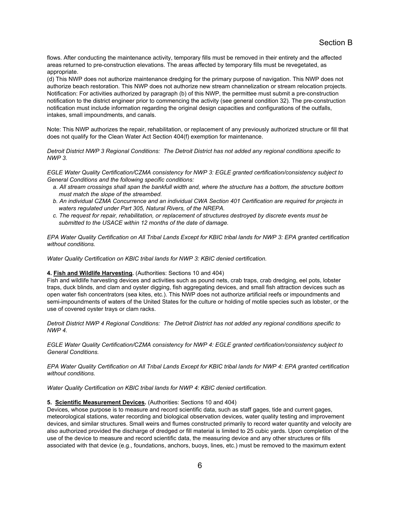flows. After conducting the maintenance activity, temporary fills must be removed in their entirety and the affected areas returned to pre-construction elevations. The areas affected by temporary fills must be revegetated, as appropriate.

(d) This NWP does not authorize maintenance dredging for the primary purpose of navigation. This NWP does not authorize beach restoration. This NWP does not authorize new stream channelization or stream relocation projects. Notification: For activities authorized by paragraph (b) of this NWP, the permittee must submit a pre-construction notification to the district engineer prior to commencing the activity (see general condition 32). The pre-construction notification must include information regarding the original design capacities and configurations of the outfalls, intakes, small impoundments, and canals.

Note: This NWP authorizes the repair, rehabilitation, or replacement of any previously authorized structure or fill that does not qualify for the Clean Water Act Section 404(f) exemption for maintenance.

*Detroit District NWP 3 Regional Conditions: The Detroit District has not added any regional conditions specific to NWP 3.* 

*EGLE Water Quality Certification/CZMA consistency for NWP 3: EGLE granted certification/consistency subject to General Conditions and the following specific conditions:* 

- *a. All stream crossings shall span the bankfull width and, where the structure has a bottom, the structure bottom must match the slope of the streambed.*
- *b. An individual CZMA Concurrence and an individual CWA Section 401 Certification are required for projects in waters regulated under Part 305, Natural Rivers, of the NREPA.*
- *c. The request for repair, rehabilitation, or replacement of structures destroyed by discrete events must be submitted to the USACE within 12 months of the date of damage.*

*EPA Water Quality Certification on All Tribal Lands Except for KBIC tribal lands for NWP 3: EPA granted certification without conditions.* 

*Water Quality Certification on KBIC tribal lands for NWP 3: KBIC denied certification.* 

#### **4. Fish and Wildlife Harvesting.** (Authorities: Sections 10 and 404)

Fish and wildlife harvesting devices and activities such as pound nets, crab traps, crab dredging, eel pots, lobster traps, duck blinds, and clam and oyster digging, fish aggregating devices, and small fish attraction devices such as open water fish concentrators (sea kites, etc.). This NWP does not authorize artificial reefs or impoundments and semi-impoundments of waters of the United States for the culture or holding of motile species such as lobster, or the use of covered oyster trays or clam racks.

*Detroit District NWP 4 Regional Conditions: The Detroit District has not added any regional conditions specific to NWP 4.* 

*EGLE Water Quality Certification/CZMA consistency for NWP 4: EGLE granted certification/consistency subject to General Conditions.* 

*EPA Water Quality Certification on All Tribal Lands Except for KBIC tribal lands for NWP 4: EPA granted certification without conditions.* 

*Water Quality Certification on KBIC tribal lands for NWP 4: KBIC denied certification.* 

#### **5. Scientific Measurement Devices.** (Authorities: Sections 10 and 404)

Devices, whose purpose is to measure and record scientific data, such as staff gages, tide and current gages, meteorological stations, water recording and biological observation devices, water quality testing and improvement devices, and similar structures. Small weirs and flumes constructed primarily to record water quantity and velocity are also authorized provided the discharge of dredged or fill material is limited to 25 cubic yards. Upon completion of the use of the device to measure and record scientific data, the measuring device and any other structures or fills associated with that device (e.g., foundations, anchors, buoys, lines, etc.) must be removed to the maximum extent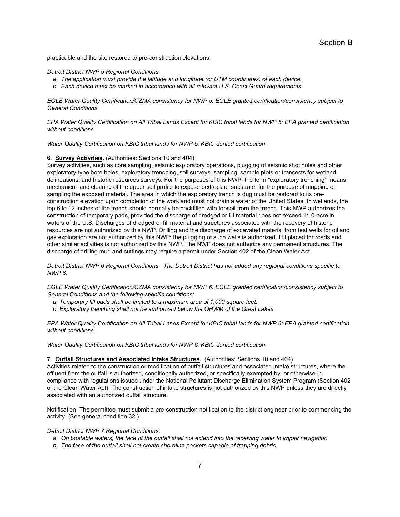practicable and the site restored to pre-construction elevations.

## *Detroit District NWP 5 Regional Conditions:*

- *a. The application must provide the latitude and longitude (or UTM coordinates) of each device.*
- *b. Each device must be marked in accordance with all relevant U.S. Coast Guard requirements.*

*EGLE Water Quality Certification/CZMA consistency for NWP 5: EGLE granted certification/consistency subject to General Conditions.* 

*EPA Water Quality Certification on All Tribal Lands Except for KBIC tribal lands for NWP 5: EPA granted certification without conditions.* 

*Water Quality Certification on KBIC tribal lands for NWP 5: KBIC denied certification.* 

#### **6. Survey Activities.** (Authorities: Sections 10 and 404)

Survey activities, such as core sampling, seismic exploratory operations, plugging of seismic shot holes and other exploratory-type bore holes, exploratory trenching, soil surveys, sampling, sample plots or transects for wetland delineations, and historic resources surveys. For the purposes of this NWP, the term "exploratory trenching" means mechanical land clearing of the upper soil profile to expose bedrock or substrate, for the purpose of mapping or sampling the exposed material. The area in which the exploratory trench is dug must be restored to its preconstruction elevation upon completion of the work and must not drain a water of the United States. In wetlands, the top 6 to 12 inches of the trench should normally be backfilled with topsoil from the trench. This NWP authorizes the construction of temporary pads, provided the discharge of dredged or fill material does not exceed 1/10-acre in waters of the U.S. Discharges of dredged or fill material and structures associated with the recovery of historic resources are not authorized by this NWP. Drilling and the discharge of excavated material from test wells for oil and gas exploration are not authorized by this NWP; the plugging of such wells is authorized. Fill placed for roads and other similar activities is not authorized by this NWP. The NWP does not authorize any permanent structures. The discharge of drilling mud and cuttings may require a permit under Section 402 of the Clean Water Act.

*Detroit District NWP 6 Regional Conditions: The Detroit District has not added any regional conditions specific to NWP 6.* 

*EGLE Water Quality Certification/CZMA consistency for NWP 6: EGLE granted certification/consistency subject to General Conditions and the following specific conditions:* 

- *a. Temporary fill pads shall be limited to a maximum area of 1,000 square feet.*
- *b. Exploratory trenching shall not be authorized below the OHWM of the Great Lakes.*

*EPA Water Quality Certification on All Tribal Lands Except for KBIC tribal lands for NWP 6: EPA granted certification without conditions.* 

*Water Quality Certification on KBIC tribal lands for NWP 6: KBIC denied certification.* 

## **7. Outfall Structures and Associated Intake Structures.** (Authorities: Sections 10 and 404)

Activities related to the construction or modification of outfall structures and associated intake structures, where the effluent from the outfall is authorized, conditionally authorized, or specifically exempted by, or otherwise in compliance with regulations issued under the National Pollutant Discharge Elimination System Program (Section 402 of the Clean Water Act). The construction of intake structures is not authorized by this NWP unless they are directly associated with an authorized outfall structure.

Notification: The permittee must submit a pre-construction notification to the district engineer prior to commencing the activity. (See general condition 32.)

*Detroit District NWP 7 Regional Conditions:* 

- *a. On boatable waters, the face of the outfall shall not extend into the receiving water to impair navigation.*
- *b. The face of the outfall shall not create shoreline pockets capable of trapping debris.*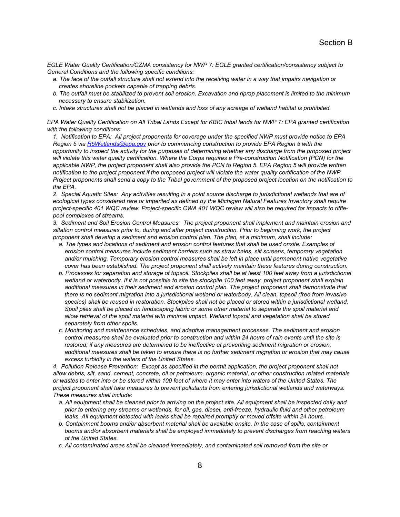*EGLE Water Quality Certification/CZMA consistency for NWP 7: EGLE granted certification/consistency subject to General Conditions and the following specific conditions:* 

- *a. The face of the outfall structure shall not extend into the receiving water in a way that impairs navigation or creates shoreline pockets capable of trapping debris.*
- *b. The outfall must be stabilized to prevent soil erosion. Excavation and riprap placement is limited to the minimum necessary to ensure stabilization.*
- *c. Intake structures shall not be placed in wetlands and loss of any acreage of wetland habitat is prohibited.*

*EPA Water Quality Certification on All Tribal Lands Except for KBIC tribal lands for NWP 7: EPA granted certification with the following conditions:* 

*1. Notification to EPA: All project proponents for coverage under the specified NWP must provide notice to EPA Region 5 via R5Wetlands@epa.gov prior to commencing construction to provide EPA Region 5 with the opportunity to inspect the activity for the purposes of determining whether any discharge from the proposed project will violate this water quality certification. Where the Corps requires a Pre-construction Notification (PCN) for the*  applicable NWP, the project proponent shall also provide the PCN to Region 5. EPA Region 5 will provide written *notification to the project proponent if the proposed project will violate the water quality certification of the NWP. Project proponents shall send a copy to the Tribal government of the proposed project location on the notification to the EPA.* 

*2. Special Aquatic Sites: Any activities resulting in a point source discharge to jurisdictional wetlands that are of*  ecological types considered rare or imperiled as defined by the Michigan Natural Features Inventory shall require *project-specific 401 WQC review. Project-specific CWA 401 WQC review will also be required for impacts to rifflepool complexes of streams.* 

*3. Sediment and Soil Erosion Control Measures: The project proponent shall implement and maintain erosion and siltation control measures prior to, during and after project construction. Prior to beginning work, the project proponent shall develop a sediment and erosion control plan. The plan, at a minimum, shall include:* 

- *a. The types and locations of sediment and erosion control features that shall be used onsite. Examples of erosion control measures include sediment barriers such as straw bales, silt screens, temporary vegetation*  and/or mulching. Temporary erosion control measures shall be left in place until permanent native vegetative *cover has been established. The project proponent shall actively maintain these features during construction.*
- *b. Processes for separation and storage of topsoil. Stockpiles shall be at least 100 feet away from a jurisdictional wetland or waterbody. If it is not possible to site the stockpile 100 feet away, project proponent shall explain*  additional measures in their sediment and erosion control plan. The project proponent shall demonstrate that *there is no sediment migration into a jurisdictional wetland or waterbody. All clean, topsoil (free from invasive*  species) shall be reused in restoration. Stockpiles shall not be placed or stored within a jurisdictional wetland. *Spoil piles shall be placed on landscaping fabric or some other material to separate the spoil material and allow retrieval of the spoil material with minimal impact. Wetland topsoil and vegetation shall be stored separately from other spoils.*
- *c. Monitoring and maintenance schedules, and adaptive management processes. The sediment and erosion control measures shall be evaluated prior to construction and within 24 hours of rain events until the site is restored; if any measures are determined to be ineffective at preventing sediment migration or erosion, additional measures shall be taken to ensure there is no further sediment migration or erosion that may cause excess turbidity in the waters of the United States.*

4. Pollution Release Prevention: Except as specified in the permit application, the project proponent shall not *allow debris, silt, sand, cement, concrete, oil or petroleum, organic material, or other construction related materials or wastes to enter into or be stored within 100 feet of where it may enter into waters of the United States. The project proponent shall take measures to prevent pollutants from entering jurisdictional wetlands and waterways. These measures shall include:* 

- *a. All equipment shall be cleaned prior to arriving on the project site. All equipment shall be inspected daily and prior to entering any streams or wetlands, for oil, gas, diesel, anti-freeze, hydraulic fluid and other petroleum*  leaks. All equipment detected with leaks shall be repaired promptly or moved offsite within 24 hours.
- *b. Containment booms and/or absorbent material shall be available onsite. In the case of spills, containment booms and/or absorbent materials shall be employed immediately to prevent discharges from reaching waters of the United States.*
- *c. All contaminated areas shall be cleaned immediately, and contaminated soil removed from the site or*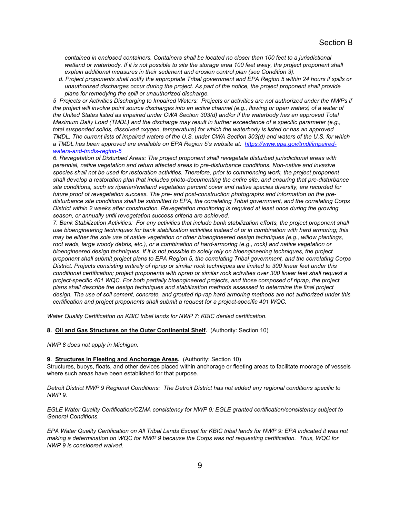*contained in enclosed containers. Containers shall be located no closer than 100 feet to a jurisdictional*  wetland or waterbody. If it is not possible to site the storage area 100 feet away, the project proponent shall *explain additional measures in their sediment and erosion control plan (see Condition 3).* 

*d. Project proponents shall notify the appropriate Tribal government and EPA Region 5 within 24 hours if spills or unauthorized discharges occur during the project. As part of the notice, the project proponent shall provide plans for remedying the spill or unauthorized discharge.* 

*5 Projects or Activities Discharging to Impaired Waters: Projects or activities are not authorized under the NWPs if the project will involve point source discharges into an active channel (e.g., flowing or open waters) of a water of the United States listed as impaired under CWA Section 303(d) and/or if the waterbody has an approved Total Maximum Daily Load (TMDL) and the discharge may result in further exceedance of a specific parameter (e.g., total suspended solids, dissolved oxygen, temperature) for which the waterbody is listed or has an approved TMDL. The current lists of impaired waters of the U.S. under CWA Section 303(d) and waters of the U.S. for which a TMDL has been approved are available on EPA Region 5's website at: https://www.epa.gov/tmdl/impairedwaters-and-tmdls-region-5* 

*6. Revegetation of Disturbed Areas: The project proponent shall revegetate disturbed jurisdictional areas with perennial, native vegetation and return affected areas to pre-disturbance conditions. Non-native and invasive*  species shall not be used for restoration activities. Therefore, prior to commencing work, the project proponent *shall develop a restoration plan that includes photo-documenting the entire site, and ensuring that pre-disturbance site conditions, such as riparian/wetland vegetation percent cover and native species diversity, are recorded for future proof of revegetation success. The pre- and post-construction photographs and information on the predisturbance site conditions shall be submitted to EPA, the correlating Tribal government, and the correlating Corps District within 2 weeks after construction. Revegetation monitoring is required at least once during the growing season, or annually until revegetation success criteria are achieved.* 

*7. Bank Stabilization Activities: For any activities that include bank stabilization efforts, the project proponent shall use bioengineering techniques for bank stabilization activities instead of or in combination with hard armoring; this may be either the sole use of native vegetation or other bioengineered design techniques (e.g., willow plantings,*  root wads, large woody debris, etc.), or a combination of hard-armoring (e.g., rock) and native vegetation or *bioengineered design techniques. If it is not possible to solely rely on bioengineering techniques, the project proponent shall submit project plans to EPA Region 5, the correlating Tribal government, and the correlating Corps District. Projects consisting entirely of riprap or similar rock techniques are limited to 300 linear feet under this conditional certification; project proponents with riprap or similar rock activities over 300 linear feet shall request a project-specific 401 WQC. For both partially bioengineered projects, and those composed of riprap, the project plans shall describe the design techniques and stabilization methods assessed to determine the final project design. The use of soil cement, concrete, and grouted rip-rap hard armoring methods are not authorized under this certification and project proponents shall submit a request for a project-specific 401 WQC.* 

*Water Quality Certification on KBIC tribal lands for NWP 7: KBIC denied certification.* 

**8. Oil and Gas Structures on the Outer Continental Shelf.** (Authority: Section 10)

*NWP 8 does not apply in Michigan.* 

## **9. Structures in Fleeting and Anchorage Areas.** (Authority: Section 10)

Structures, buoys, floats, and other devices placed within anchorage or fleeting areas to facilitate moorage of vessels where such areas have been established for that purpose.

*Detroit District NWP 9 Regional Conditions: The Detroit District has not added any regional conditions specific to NWP 9.* 

*EGLE Water Quality Certification/CZMA consistency for NWP 9: EGLE granted certification/consistency subject to General Conditions.* 

*EPA Water Quality Certification on All Tribal Lands Except for KBIC tribal lands for NWP 9: EPA indicated it was not making a determination on WQC for NWP 9 because the Corps was not requesting certification. Thus, WQC for NWP 9 is considered waived.*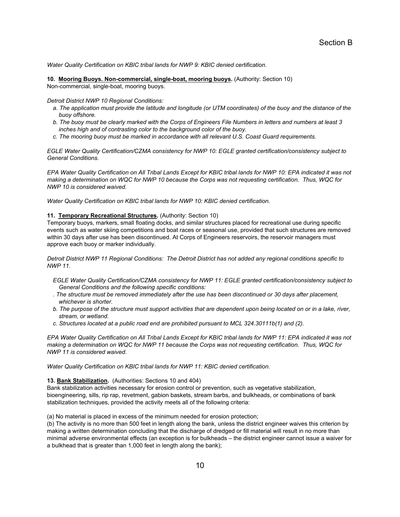*Water Quality Certification on KBIC tribal lands for NWP 9: KBIC denied certification.* 

**10. Mooring Buoys. Non-commercial, single-boat, mooring buoys.** (Authority: Section 10) Non-commercial, single-boat, mooring buoys.

*Detroit District NWP 10 Regional Conditions:* 

- *a. The application must provide the latitude and longitude (or UTM coordinates) of the buoy and the distance of the buoy offshore.*
- *b. The buoy must be clearly marked with the Corps of Engineers File Numbers in letters and numbers at least 3 inches high and of contrasting color to the background color of the buoy.*
- *c. The mooring buoy must be marked in accordance with all relevant U.S. Coast Guard requirements.*

*EGLE Water Quality Certification/CZMA consistency for NWP 10: EGLE granted certification/consistency subject to General Conditions.* 

*EPA Water Quality Certification on All Tribal Lands Except for KBIC tribal lands for NWP 10: EPA indicated it was not making a determination on WQC for NWP 10 because the Corps was not requesting certification. Thus, WQC for NWP 10 is considered waived.* 

*Water Quality Certification on KBIC tribal lands for NWP 10: KBIC denied certification.* 

# **11. Temporary Recreational Structures.** (Authority: Section 10)

Temporary buoys, markers, small floating docks, and similar structures placed for recreational use during specific events such as water skiing competitions and boat races or seasonal use, provided that such structures are removed within 30 days after use has been discontinued. At Corps of Engineers reservoirs, the reservoir managers must approve each buoy or marker individually.

*Detroit District NWP 11 Regional Conditions: The Detroit District has not added any regional conditions specific to NWP 11.* 

- *EGLE Water Quality Certification/CZMA consistency for NWP 11: EGLE granted certification/consistency subject to General Conditions and the following specific conditions:*
- *. The structure must be removed immediately after the use has been discontinued or 30 days after placement, whichever is shorter.*
- *b. The purpose of the structure must support activities that are dependent upon being located on or in a lake, river, stream, or wetland.*
- *c. Structures located at a public road end are prohibited pursuant to MCL 324.30111b(1) and (2).*

*EPA Water Quality Certification on All Tribal Lands Except for KBIC tribal lands for NWP 11: EPA indicated it was not making a determination on WQC for NWP 11 because the Corps was not requesting certification. Thus, WQC for NWP 11 is considered waived.* 

*Water Quality Certification on KBIC tribal lands for NWP 11: KBIC denied certification.* 

## **13. Bank Stabilization.** (Authorities: Sections 10 and 404)

Bank stabilization activities necessary for erosion control or prevention, such as vegetative stabilization, bioengineering, sills, rip rap, revetment, gabion baskets, stream barbs, and bulkheads, or combinations of bank stabilization techniques, provided the activity meets all of the following criteria:

(a) No material is placed in excess of the minimum needed for erosion protection;

(b) The activity is no more than 500 feet in length along the bank, unless the district engineer waives this criterion by making a written determination concluding that the discharge of dredged or fill material will result in no more than minimal adverse environmental effects (an exception is for bulkheads – the district engineer cannot issue a waiver for a bulkhead that is greater than 1,000 feet in length along the bank);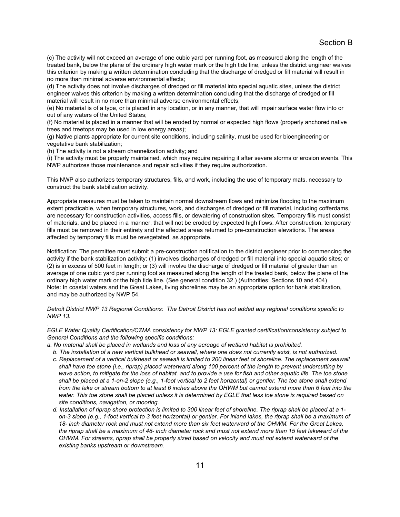(c) The activity will not exceed an average of one cubic yard per running foot, as measured along the length of the treated bank, below the plane of the ordinary high water mark or the high tide line, unless the district engineer waives this criterion by making a written determination concluding that the discharge of dredged or fill material will result in no more than minimal adverse environmental effects;

(d) The activity does not involve discharges of dredged or fill material into special aquatic sites, unless the district engineer waives this criterion by making a written determination concluding that the discharge of dredged or fill material will result in no more than minimal adverse environmental effects;

(e) No material is of a type, or is placed in any location, or in any manner, that will impair surface water flow into or out of any waters of the United States;

(f) No material is placed in a manner that will be eroded by normal or expected high flows (properly anchored native trees and treetops may be used in low energy areas);

(g) Native plants appropriate for current site conditions, including salinity, must be used for bioengineering or vegetative bank stabilization;

(h) The activity is not a stream channelization activity; and

*.* 

(i) The activity must be properly maintained, which may require repairing it after severe storms or erosion events. This NWP authorizes those maintenance and repair activities if they require authorization.

This NWP also authorizes temporary structures, fills, and work, including the use of temporary mats, necessary to construct the bank stabilization activity.

Appropriate measures must be taken to maintain normal downstream flows and minimize flooding to the maximum extent practicable, when temporary structures, work, and discharges of dredged or fill material, including cofferdams, are necessary for construction activities, access fills, or dewatering of construction sites. Temporary fills must consist of materials, and be placed in a manner, that will not be eroded by expected high flows. After construction, temporary fills must be removed in their entirety and the affected areas returned to pre-construction elevations. The areas affected by temporary fills must be revegetated, as appropriate.

Notification: The permittee must submit a pre-construction notification to the district engineer prior to commencing the activity if the bank stabilization activity: (1) involves discharges of dredged or fill material into special aquatic sites; or (2) is in excess of 500 feet in length; or (3) will involve the discharge of dredged or fill material of greater than an average of one cubic yard per running foot as measured along the length of the treated bank, below the plane of the ordinary high water mark or the high tide line. (See general condition 32.) (Authorities: Sections 10 and 404) Note: In coastal waters and the Great Lakes, living shorelines may be an appropriate option for bank stabilization, and may be authorized by NWP 54.

*Detroit District NWP 13 Regional Conditions: The Detroit District has not added any regional conditions specific to NWP 13.* 

*EGLE Water Quality Certification/CZMA consistency for NWP 13: EGLE granted certification/consistency subject to General Conditions and the following specific conditions:* 

*a. No material shall be placed in wetlands and loss of any acreage of wetland habitat is prohibited.* 

- *b. The installation of a new vertical bulkhead or seawall, where one does not currently exist, is not authorized.*
- *c. Replacement of a vertical bulkhead or seawall is limited to 200 linear feet of shoreline. The replacement seawall shall have toe stone (i.e., riprap) placed waterward along 100 percent of the length to prevent undercutting by*  wave action, to mitigate for the loss of habitat, and to provide a use for fish and other aquatic life. The toe stone shall be placed at a 1-on-2 slope (e.g., 1-foot vertical to 2 feet horizontal) or gentler. The toe stone shall extend from the lake or stream bottom to at least 6 inches above the OHWM but cannot extend more than 6 feet into the water. This toe stone shall be placed unless it is determined by EGLE that less toe stone is required based on *site conditions, navigation, or mooring.*
- *d. Installation of riprap shore protection is limited to 300 linear feet of shoreline. The riprap shall be placed at a 1 on-3 slope (e.g., 1-foot vertical to 3 feet horizontal) or gentler. For inland lakes, the riprap shall be a maximum of 18- inch diameter rock and must not extend more than six feet waterward of the OHWM. For the Great Lakes, the riprap shall be a maximum of 48- inch diameter rock and must not extend more than 15 feet lakeward of the OHWM. For streams, riprap shall be properly sized based on velocity and must not extend waterward of the existing banks upstream or downstream.*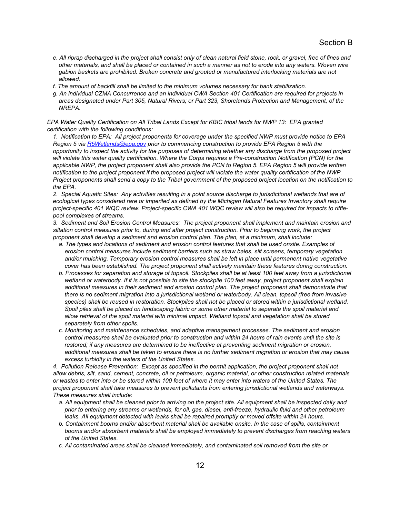- *e. All riprap discharged in the project shall consist only of clean natural field stone, rock, or gravel, free of fines and other materials, and shall be placed or contained in such a manner as not to erode into any waters. Woven wire gabion baskets are prohibited. Broken concrete and grouted or manufactured interlocking materials are not allowed.*
- *f. The amount of backfill shall be limited to the minimum volumes necessary for bank stabilization.*
- *g. An individual CZMA Concurrence and an individual CWA Section 401 Certification are required for projects in areas designated under Part 305, Natural Rivers; or Part 323, Shorelands Protection and Management, of the NREPA.*

*EPA Water Quality Certification on All Tribal Lands Except for KBIC tribal lands for NWP 13: EPA granted certification with the following conditions:* 

*1. Notification to EPA: All project proponents for coverage under the specified NWP must provide notice to EPA Region 5 via R5Wetlands@epa.gov prior to commencing construction to provide EPA Region 5 with the opportunity to inspect the activity for the purposes of determining whether any discharge from the proposed project will violate this water quality certification. Where the Corps requires a Pre-construction Notification (PCN) for the*  applicable NWP, the project proponent shall also provide the PCN to Region 5. EPA Region 5 will provide written *notification to the project proponent if the proposed project will violate the water quality certification of the NWP. Project proponents shall send a copy to the Tribal government of the proposed project location on the notification to the EPA.* 

*2. Special Aquatic Sites: Any activities resulting in a point source discharge to jurisdictional wetlands that are of ecological types considered rare or imperiled as defined by the Michigan Natural Features Inventory shall require project-specific 401 WQC review. Project-specific CWA 401 WQC review will also be required for impacts to rifflepool complexes of streams.* 

*3. Sediment and Soil Erosion Control Measures: The project proponent shall implement and maintain erosion and siltation control measures prior to, during and after project construction. Prior to beginning work, the project proponent shall develop a sediment and erosion control plan. The plan, at a minimum, shall include:* 

- *a. The types and locations of sediment and erosion control features that shall be used onsite. Examples of erosion control measures include sediment barriers such as straw bales, silt screens, temporary vegetation*  and/or mulching. Temporary erosion control measures shall be left in place until permanent native vegetative *cover has been established. The project proponent shall actively maintain these features during construction.*
- *b. Processes for separation and storage of topsoil. Stockpiles shall be at least 100 feet away from a jurisdictional wetland or waterbody. If it is not possible to site the stockpile 100 feet away, project proponent shall explain*  additional measures in their sediment and erosion control plan. The project proponent shall demonstrate that *there is no sediment migration into a jurisdictional wetland or waterbody. All clean, topsoil (free from invasive*  species) shall be reused in restoration. Stockpiles shall not be placed or stored within a jurisdictional wetland. *Spoil piles shall be placed on landscaping fabric or some other material to separate the spoil material and allow retrieval of the spoil material with minimal impact. Wetland topsoil and vegetation shall be stored separately from other spoils.*
- *c. Monitoring and maintenance schedules, and adaptive management processes. The sediment and erosion control measures shall be evaluated prior to construction and within 24 hours of rain events until the site is restored; if any measures are determined to be ineffective at preventing sediment migration or erosion, additional measures shall be taken to ensure there is no further sediment migration or erosion that may cause excess turbidity in the waters of the United States.*

4. Pollution Release Prevention: Except as specified in the permit application, the project proponent shall not *allow debris, silt, sand, cement, concrete, oil or petroleum, organic material, or other construction related materials or wastes to enter into or be stored within 100 feet of where it may enter into waters of the United States. The project proponent shall take measures to prevent pollutants from entering jurisdictional wetlands and waterways. These measures shall include:* 

- *a. All equipment shall be cleaned prior to arriving on the project site. All equipment shall be inspected daily and prior to entering any streams or wetlands, for oil, gas, diesel, anti-freeze, hydraulic fluid and other petroleum*  leaks. All equipment detected with leaks shall be repaired promptly or moved offsite within 24 hours.
- *b. Containment booms and/or absorbent material shall be available onsite. In the case of spills, containment booms and/or absorbent materials shall be employed immediately to prevent discharges from reaching waters of the United States.*
- *c. All contaminated areas shall be cleaned immediately, and contaminated soil removed from the site or*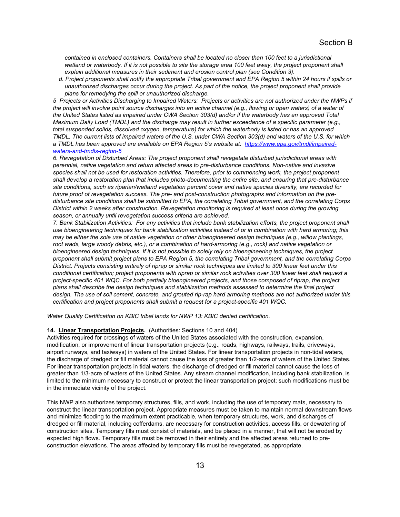*contained in enclosed containers. Containers shall be located no closer than 100 feet to a jurisdictional*  wetland or waterbody. If it is not possible to site the storage area 100 feet away, the project proponent shall *explain additional measures in their sediment and erosion control plan (see Condition 3).* 

*d. Project proponents shall notify the appropriate Tribal government and EPA Region 5 within 24 hours if spills or unauthorized discharges occur during the project. As part of the notice, the project proponent shall provide plans for remedying the spill or unauthorized discharge.* 

*5 Projects or Activities Discharging to Impaired Waters: Projects or activities are not authorized under the NWPs if the project will involve point source discharges into an active channel (e.g., flowing or open waters) of a water of the United States listed as impaired under CWA Section 303(d) and/or if the waterbody has an approved Total Maximum Daily Load (TMDL) and the discharge may result in further exceedance of a specific parameter (e.g., total suspended solids, dissolved oxygen, temperature) for which the waterbody is listed or has an approved TMDL. The current lists of impaired waters of the U.S. under CWA Section 303(d) and waters of the U.S. for which a TMDL has been approved are available on EPA Region 5's website at: https://www.epa.gov/tmdl/impairedwaters-and-tmdls-region-5* 

*6. Revegetation of Disturbed Areas: The project proponent shall revegetate disturbed jurisdictional areas with perennial, native vegetation and return affected areas to pre-disturbance conditions. Non-native and invasive species shall not be used for restoration activities. Therefore, prior to commencing work, the project proponent shall develop a restoration plan that includes photo-documenting the entire site, and ensuring that pre-disturbance site conditions, such as riparian/wetland vegetation percent cover and native species diversity, are recorded for future proof of revegetation success. The pre- and post-construction photographs and information on the predisturbance site conditions shall be submitted to EPA, the correlating Tribal government, and the correlating Corps District within 2 weeks after construction. Revegetation monitoring is required at least once during the growing season, or annually until revegetation success criteria are achieved.* 

*7. Bank Stabilization Activities: For any activities that include bank stabilization efforts, the project proponent shall use bioengineering techniques for bank stabilization activities instead of or in combination with hard armoring; this may be either the sole use of native vegetation or other bioengineered design techniques (e.g., willow plantings,*  root wads, large woody debris, etc.), or a combination of hard-armoring (e.g., rock) and native vegetation or *bioengineered design techniques. If it is not possible to solely rely on bioengineering techniques, the project proponent shall submit project plans to EPA Region 5, the correlating Tribal government, and the correlating Corps District. Projects consisting entirely of riprap or similar rock techniques are limited to 300 linear feet under this conditional certification; project proponents with riprap or similar rock activities over 300 linear feet shall request a project-specific 401 WQC. For both partially bioengineered projects, and those composed of riprap, the project plans shall describe the design techniques and stabilization methods assessed to determine the final project design. The use of soil cement, concrete, and grouted rip-rap hard armoring methods are not authorized under this certification and project proponents shall submit a request for a project-specific 401 WQC.* 

*Water Quality Certification on KBIC tribal lands for NWP 13: KBIC denied certification.* 

### **14. Linear Transportation Projects.** (Authorities: Sections 10 and 404)

Activities required for crossings of waters of the United States associated with the construction, expansion, modification, or improvement of linear transportation projects (e.g., roads, highways, railways, trails, driveways, airport runways, and taxiways) in waters of the United States. For linear transportation projects in non-tidal waters, the discharge of dredged or fill material cannot cause the loss of greater than 1/2-acre of waters of the United States. For linear transportation projects in tidal waters, the discharge of dredged or fill material cannot cause the loss of greater than 1/3-acre of waters of the United States. Any stream channel modification, including bank stabilization, is limited to the minimum necessary to construct or protect the linear transportation project; such modifications must be in the immediate vicinity of the project.

This NWP also authorizes temporary structures, fills, and work, including the use of temporary mats, necessary to construct the linear transportation project. Appropriate measures must be taken to maintain normal downstream flows and minimize flooding to the maximum extent practicable, when temporary structures, work, and discharges of dredged or fill material, including cofferdams, are necessary for construction activities, access fills, or dewatering of construction sites. Temporary fills must consist of materials, and be placed in a manner, that will not be eroded by expected high flows. Temporary fills must be removed in their entirety and the affected areas returned to preconstruction elevations. The areas affected by temporary fills must be revegetated, as appropriate.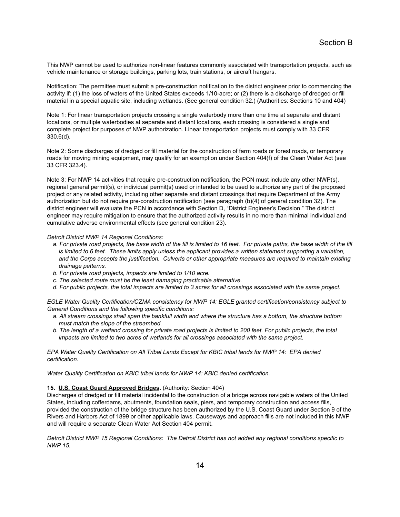This NWP cannot be used to authorize non-linear features commonly associated with transportation projects, such as vehicle maintenance or storage buildings, parking lots, train stations, or aircraft hangars.

Notification: The permittee must submit a pre-construction notification to the district engineer prior to commencing the activity if: (1) the loss of waters of the United States exceeds 1/10-acre; or (2) there is a discharge of dredged or fill material in a special aquatic site, including wetlands. (See general condition 32.) (Authorities: Sections 10 and 404)

Note 1: For linear transportation projects crossing a single waterbody more than one time at separate and distant locations, or multiple waterbodies at separate and distant locations, each crossing is considered a single and complete project for purposes of NWP authorization. Linear transportation projects must comply with 33 CFR 330.6(d).

Note 2: Some discharges of dredged or fill material for the construction of farm roads or forest roads, or temporary roads for moving mining equipment, may qualify for an exemption under Section 404(f) of the Clean Water Act (see 33 CFR 323.4).

Note 3: For NWP 14 activities that require pre-construction notification, the PCN must include any other NWP(s), regional general permit(s), or individual permit(s) used or intended to be used to authorize any part of the proposed project or any related activity, including other separate and distant crossings that require Department of the Army authorization but do not require pre-construction notification (see paragraph (b)(4) of general condition 32). The district engineer will evaluate the PCN in accordance with Section D, "District Engineer's Decision." The district engineer may require mitigation to ensure that the authorized activity results in no more than minimal individual and cumulative adverse environmental effects (see general condition 23).

#### *Detroit District NWP 14 Regional Conditions:*

- *a. For private road projects, the base width of the fill is limited to 16 feet. For private paths, the base width of the fill*  is limited to 6 feet. These limits apply unless the applicant provides a written statement supporting a variation, *and the Corps accepts the justification. Culverts or other appropriate measures are required to maintain existing drainage patterns.*
- *b. For private road projects, impacts are limited to 1/10 acre.*
- *c. The selected route must be the least damaging practicable alternative.*
- *d. For public projects, the total impacts are limited to 3 acres for all crossings associated with the same project.*

*EGLE Water Quality Certification/CZMA consistency for NWP 14: EGLE granted certification/consistency subject to General Conditions and the following specific conditions:* 

- *a. All stream crossings shall span the bankfull width and where the structure has a bottom, the structure bottom must match the slope of the streambed.*
- *b. The length of a wetland crossing for private road projects is limited to 200 feet. For public projects, the total impacts are limited to two acres of wetlands for all crossings associated with the same project.*

*EPA Water Quality Certification on All Tribal Lands Except for KBIC tribal lands for NWP 14: EPA denied certification.* 

*Water Quality Certification on KBIC tribal lands for NWP 14: KBIC denied certification.* 

## **15. U.S. Coast Guard Approved Bridges.** (Authority: Section 404)

Discharges of dredged or fill material incidental to the construction of a bridge across navigable waters of the United States, including cofferdams, abutments, foundation seals, piers, and temporary construction and access fills, provided the construction of the bridge structure has been authorized by the U.S. Coast Guard under Section 9 of the Rivers and Harbors Act of 1899 or other applicable laws. Causeways and approach fills are not included in this NWP and will require a separate Clean Water Act Section 404 permit.

*Detroit District NWP 15 Regional Conditions: The Detroit District has not added any regional conditions specific to NWP 15.*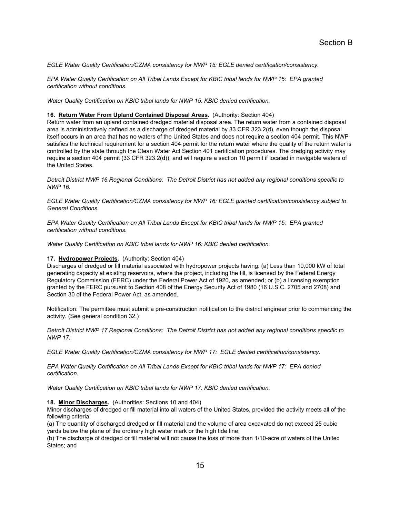*EGLE Water Quality Certification/CZMA consistency for NWP 15: EGLE denied certification/consistency.* 

*EPA Water Quality Certification on All Tribal Lands Except for KBIC tribal lands for NWP 15: EPA granted certification without conditions.* 

*Water Quality Certification on KBIC tribal lands for NWP 15: KBIC denied certification.* 

#### **16. Return Water From Upland Contained Disposal Areas.** (Authority: Section 404)

Return water from an upland contained dredged material disposal area. The return water from a contained disposal area is administratively defined as a discharge of dredged material by 33 CFR 323.2(d), even though the disposal itself occurs in an area that has no waters of the United States and does not require a section 404 permit. This NWP satisfies the technical requirement for a section 404 permit for the return water where the quality of the return water is controlled by the state through the Clean Water Act Section 401 certification procedures. The dredging activity may require a section 404 permit (33 CFR 323.2(d)), and will require a section 10 permit if located in navigable waters of the United States.

*Detroit District NWP 16 Regional Conditions: The Detroit District has not added any regional conditions specific to NWP 16.* 

*EGLE Water Quality Certification/CZMA consistency for NWP 16: EGLE granted certification/consistency subject to General Conditions.* 

*EPA Water Quality Certification on All Tribal Lands Except for KBIC tribal lands for NWP 15: EPA granted certification without conditions.* 

*Water Quality Certification on KBIC tribal lands for NWP 16: KBIC denied certification.* 

#### **17. Hydropower Projects.** (Authority: Section 404)

Discharges of dredged or fill material associated with hydropower projects having: (a) Less than 10,000 kW of total generating capacity at existing reservoirs, where the project, including the fill, is licensed by the Federal Energy Regulatory Commission (FERC) under the Federal Power Act of 1920, as amended; or (b) a licensing exemption granted by the FERC pursuant to Section 408 of the Energy Security Act of 1980 (16 U.S.C. 2705 and 2708) and Section 30 of the Federal Power Act, as amended.

Notification: The permittee must submit a pre-construction notification to the district engineer prior to commencing the activity. (See general condition 32.)

*Detroit District NWP 17 Regional Conditions: The Detroit District has not added any regional conditions specific to NWP 17.* 

*EGLE Water Quality Certification/CZMA consistency for NWP 17: EGLE denied certification/consistency.* 

*EPA Water Quality Certification on All Tribal Lands Except for KBIC tribal lands for NWP 17: EPA denied certification.* 

*Water Quality Certification on KBIC tribal lands for NWP 17: KBIC denied certification.* 

## **18. Minor Discharges.** (Authorities: Sections 10 and 404)

Minor discharges of dredged or fill material into all waters of the United States, provided the activity meets all of the following criteria:

(a) The quantity of discharged dredged or fill material and the volume of area excavated do not exceed 25 cubic yards below the plane of the ordinary high water mark or the high tide line;

(b) The discharge of dredged or fill material will not cause the loss of more than 1/10-acre of waters of the United States; and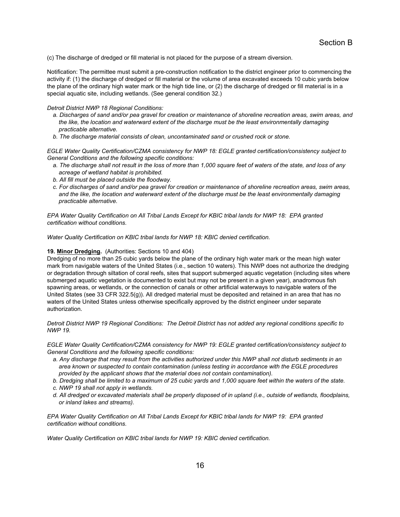(c) The discharge of dredged or fill material is not placed for the purpose of a stream diversion.

Notification: The permittee must submit a pre-construction notification to the district engineer prior to commencing the activity if: (1) the discharge of dredged or fill material or the volume of area excavated exceeds 10 cubic yards below the plane of the ordinary high water mark or the high tide line, or (2) the discharge of dredged or fill material is in a special aquatic site, including wetlands. (See general condition 32.)

#### *Detroit District NWP 18 Regional Conditions:*

- *a. Discharges of sand and/or pea gravel for creation or maintenance of shoreline recreation areas, swim areas, and the like, the location and waterward extent of the discharge must be the least environmentally damaging practicable alternative.*
- *b. The discharge material consists of clean, uncontaminated sand or crushed rock or stone.*

*EGLE Water Quality Certification/CZMA consistency for NWP 18: EGLE granted certification/consistency subject to General Conditions and the following specific conditions:* 

- *a. The discharge shall not result in the loss of more than 1,000 square feet of waters of the state, and loss of any acreage of wetland habitat is prohibited.*
- *b. All fill must be placed outside the floodway.*
- *c. For discharges of sand and/or pea gravel for creation or maintenance of shoreline recreation areas, swim areas, and the like, the location and waterward extent of the discharge must be the least environmentally damaging practicable alternative.*

*EPA Water Quality Certification on All Tribal Lands Except for KBIC tribal lands for NWP 18: EPA granted certification without conditions.* 

*Water Quality Certification on KBIC tribal lands for NWP 18: KBIC denied certification.* 

#### **19. Minor Dredging.** (Authorities: Sections 10 and 404)

Dredging of no more than 25 cubic yards below the plane of the ordinary high water mark or the mean high water mark from navigable waters of the United States (i.e., section 10 waters). This NWP does not authorize the dredging or degradation through siltation of coral reefs, sites that support submerged aquatic vegetation (including sites where submerged aquatic vegetation is documented to exist but may not be present in a given year), anadromous fish spawning areas, or wetlands, or the connection of canals or other artificial waterways to navigable waters of the United States (see 33 CFR 322.5(g)). All dredged material must be deposited and retained in an area that has no waters of the United States unless otherwise specifically approved by the district engineer under separate authorization.

*Detroit District NWP 19 Regional Conditions: The Detroit District has not added any regional conditions specific to NWP 19.* 

*EGLE Water Quality Certification/CZMA consistency for NWP 19: EGLE granted certification/consistency subject to General Conditions and the following specific conditions:* 

- *a. Any discharge that may result from the activities authorized under this NWP shall not disturb sediments in an area known or suspected to contain contamination (unless testing in accordance with the EGLE procedures provided by the applicant shows that the material does not contain contamination).*
- *b. Dredging shall be limited to a maximum of 25 cubic yards and 1,000 square feet within the waters of the state.*
- *c. NWP 19 shall not apply in wetlands.*
- *d. All dredged or excavated materials shall be properly disposed of in upland (i.e., outside of wetlands, floodplains, or inland lakes and streams).*

*EPA Water Quality Certification on All Tribal Lands Except for KBIC tribal lands for NWP 19: EPA granted certification without conditions.* 

*Water Quality Certification on KBIC tribal lands for NWP 19: KBIC denied certification.*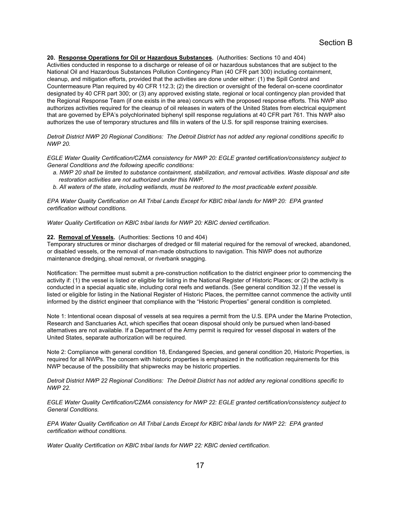# **20. Response Operations for Oil or Hazardous Substances.** (Authorities: Sections 10 and 404)

Activities conducted in response to a discharge or release of oil or hazardous substances that are subject to the National Oil and Hazardous Substances Pollution Contingency Plan (40 CFR part 300) including containment, cleanup, and mitigation efforts, provided that the activities are done under either: (1) the Spill Control and Countermeasure Plan required by 40 CFR 112.3; (2) the direction or oversight of the federal on-scene coordinator designated by 40 CFR part 300; or (3) any approved existing state, regional or local contingency plan provided that the Regional Response Team (if one exists in the area) concurs with the proposed response efforts. This NWP also authorizes activities required for the cleanup of oil releases in waters of the United States from electrical equipment that are governed by EPA's polychlorinated biphenyl spill response regulations at 40 CFR part 761. This NWP also authorizes the use of temporary structures and fills in waters of the U.S. for spill response training exercises.

*Detroit District NWP 20 Regional Conditions: The Detroit District has not added any regional conditions specific to NWP 20.* 

*EGLE Water Quality Certification/CZMA consistency for NWP 20: EGLE granted certification/consistency subject to General Conditions and the following specific conditions:* 

- *a. NWP 20 shall be limited to substance containment, stabilization, and removal activities. Waste disposal and site restoration activities are not authorized under this NWP.*
- *b. All waters of the state, including wetlands, must be restored to the most practicable extent possible.*

*EPA Water Quality Certification on All Tribal Lands Except for KBIC tribal lands for NWP 20: EPA granted certification without conditions.* 

*Water Quality Certification on KBIC tribal lands for NWP 20: KBIC denied certification.* 

#### **22. Removal of Vessels.** (Authorities: Sections 10 and 404)

Temporary structures or minor discharges of dredged or fill material required for the removal of wrecked, abandoned, or disabled vessels, or the removal of man-made obstructions to navigation. This NWP does not authorize maintenance dredging, shoal removal, or riverbank snagging.

Notification: The permittee must submit a pre-construction notification to the district engineer prior to commencing the activity if: (1) the vessel is listed or eligible for listing in the National Register of Historic Places; or (2) the activity is conducted in a special aquatic site, including coral reefs and wetlands. (See general condition 32.) If the vessel is listed or eligible for listing in the National Register of Historic Places, the permittee cannot commence the activity until informed by the district engineer that compliance with the "Historic Properties" general condition is completed.

Note 1: Intentional ocean disposal of vessels at sea requires a permit from the U.S. EPA under the Marine Protection, Research and Sanctuaries Act, which specifies that ocean disposal should only be pursued when land-based alternatives are not available. If a Department of the Army permit is required for vessel disposal in waters of the United States, separate authorization will be required.

Note 2: Compliance with general condition 18, Endangered Species, and general condition 20, Historic Properties, is required for all NWPs. The concern with historic properties is emphasized in the notification requirements for this NWP because of the possibility that shipwrecks may be historic properties.

*Detroit District NWP 22 Regional Conditions: The Detroit District has not added any regional conditions specific to NWP 22.* 

*EGLE Water Quality Certification/CZMA consistency for NWP 22: EGLE granted certification/consistency subject to General Conditions.* 

*EPA Water Quality Certification on All Tribal Lands Except for KBIC tribal lands for NWP 22: EPA granted certification without conditions.* 

*Water Quality Certification on KBIC tribal lands for NWP 22: KBIC denied certification.*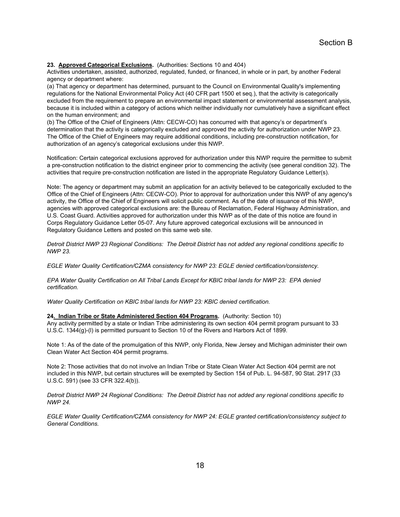**23. Approved Categorical Exclusions.** (Authorities: Sections 10 and 404)

Activities undertaken, assisted, authorized, regulated, funded, or financed, in whole or in part, by another Federal agency or department where:

(a) That agency or department has determined, pursuant to the Council on Environmental Quality's implementing regulations for the National Environmental Policy Act (40 CFR part 1500 et seq.), that the activity is categorically excluded from the requirement to prepare an environmental impact statement or environmental assessment analysis, because it is included within a category of actions which neither individually nor cumulatively have a significant effect on the human environment; and

(b) The Office of the Chief of Engineers (Attn: CECW-CO) has concurred with that agency's or department's determination that the activity is categorically excluded and approved the activity for authorization under NWP 23. The Office of the Chief of Engineers may require additional conditions, including pre-construction notification, for authorization of an agency's categorical exclusions under this NWP.

Notification: Certain categorical exclusions approved for authorization under this NWP require the permittee to submit a pre-construction notification to the district engineer prior to commencing the activity (see general condition 32). The activities that require pre-construction notification are listed in the appropriate Regulatory Guidance Letter(s).

Note: The agency or department may submit an application for an activity believed to be categorically excluded to the Office of the Chief of Engineers (Attn: CECW-CO). Prior to approval for authorization under this NWP of any agency's activity, the Office of the Chief of Engineers will solicit public comment. As of the date of issuance of this NWP, agencies with approved categorical exclusions are: the Bureau of Reclamation, Federal Highway Administration, and U.S. Coast Guard. Activities approved for authorization under this NWP as of the date of this notice are found in Corps Regulatory Guidance Letter 05-07. Any future approved categorical exclusions will be announced in Regulatory Guidance Letters and posted on this same web site.

*Detroit District NWP 23 Regional Conditions: The Detroit District has not added any regional conditions specific to NWP 23.* 

*EGLE Water Quality Certification/CZMA consistency for NWP 23: EGLE denied certification/consistency.* 

*EPA Water Quality Certification on All Tribal Lands Except for KBIC tribal lands for NWP 23: EPA denied certification.* 

*Water Quality Certification on KBIC tribal lands for NWP 23: KBIC denied certification.* 

**24. Indian Tribe or State Administered Section 404 Programs.** (Authority: Section 10)

Any activity permitted by a state or Indian Tribe administering its own section 404 permit program pursuant to 33 U.S.C. 1344(g)-(l) is permitted pursuant to Section 10 of the Rivers and Harbors Act of 1899.

Note 1: As of the date of the promulgation of this NWP, only Florida, New Jersey and Michigan administer their own Clean Water Act Section 404 permit programs.

Note 2: Those activities that do not involve an Indian Tribe or State Clean Water Act Section 404 permit are not included in this NWP, but certain structures will be exempted by Section 154 of Pub. L. 94-587, 90 Stat. 2917 (33 U.S.C. 591) (see 33 CFR 322.4(b)).

*Detroit District NWP 24 Regional Conditions: The Detroit District has not added any regional conditions specific to NWP 24.* 

*EGLE Water Quality Certification/CZMA consistency for NWP 24: EGLE granted certification/consistency subject to General Conditions.*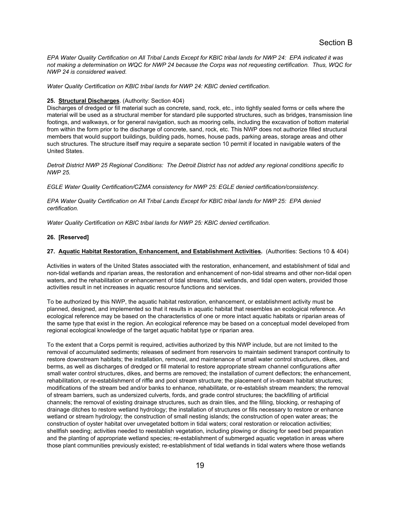*EPA Water Quality Certification on All Tribal Lands Except for KBIC tribal lands for NWP 24: EPA indicated it was not making a determination on WQC for NWP 24 because the Corps was not requesting certification. Thus, WQC for NWP 24 is considered waived.* 

*Water Quality Certification on KBIC tribal lands for NWP 24: KBIC denied certification.* 

#### **25. Structural Discharges**. (Authority: Section 404)

Discharges of dredged or fill material such as concrete, sand, rock, etc., into tightly sealed forms or cells where the material will be used as a structural member for standard pile supported structures, such as bridges, transmission line footings, and walkways, or for general navigation, such as mooring cells, including the excavation of bottom material from within the form prior to the discharge of concrete, sand, rock, etc. This NWP does not authorize filled structural members that would support buildings, building pads, homes, house pads, parking areas, storage areas and other such structures. The structure itself may require a separate section 10 permit if located in navigable waters of the United States.

*Detroit District NWP 25 Regional Conditions: The Detroit District has not added any regional conditions specific to NWP 25.* 

*EGLE Water Quality Certification/CZMA consistency for NWP 25: EGLE denied certification/consistency.* 

*EPA Water Quality Certification on All Tribal Lands Except for KBIC tribal lands for NWP 25: EPA denied certification.* 

*Water Quality Certification on KBIC tribal lands for NWP 25: KBIC denied certification.* 

## **26. [Reserved]**

## **27. Aquatic Habitat Restoration, Enhancement, and Establishment Activities.** (Authorities: Sections 10 & 404)

Activities in waters of the United States associated with the restoration, enhancement, and establishment of tidal and non-tidal wetlands and riparian areas, the restoration and enhancement of non-tidal streams and other non-tidal open waters, and the rehabilitation or enhancement of tidal streams, tidal wetlands, and tidal open waters, provided those activities result in net increases in aquatic resource functions and services.

To be authorized by this NWP, the aquatic habitat restoration, enhancement, or establishment activity must be planned, designed, and implemented so that it results in aquatic habitat that resembles an ecological reference. An ecological reference may be based on the characteristics of one or more intact aquatic habitats or riparian areas of the same type that exist in the region. An ecological reference may be based on a conceptual model developed from regional ecological knowledge of the target aquatic habitat type or riparian area.

To the extent that a Corps permit is required, activities authorized by this NWP include, but are not limited to the removal of accumulated sediments; releases of sediment from reservoirs to maintain sediment transport continuity to restore downstream habitats; the installation, removal, and maintenance of small water control structures, dikes, and berms, as well as discharges of dredged or fill material to restore appropriate stream channel configurations after small water control structures, dikes, and berms are removed; the installation of current deflectors; the enhancement, rehabilitation, or re-establishment of riffle and pool stream structure; the placement of in-stream habitat structures; modifications of the stream bed and/or banks to enhance, rehabilitate, or re-establish stream meanders; the removal of stream barriers, such as undersized culverts, fords, and grade control structures; the backfilling of artificial channels; the removal of existing drainage structures, such as drain tiles, and the filling, blocking, or reshaping of drainage ditches to restore wetland hydrology; the installation of structures or fills necessary to restore or enhance wetland or stream hydrology; the construction of small nesting islands; the construction of open water areas; the construction of oyster habitat over unvegetated bottom in tidal waters; coral restoration or relocation activities; shellfish seeding; activities needed to reestablish vegetation, including plowing or discing for seed bed preparation and the planting of appropriate wetland species; re-establishment of submerged aquatic vegetation in areas where those plant communities previously existed; re-establishment of tidal wetlands in tidal waters where those wetlands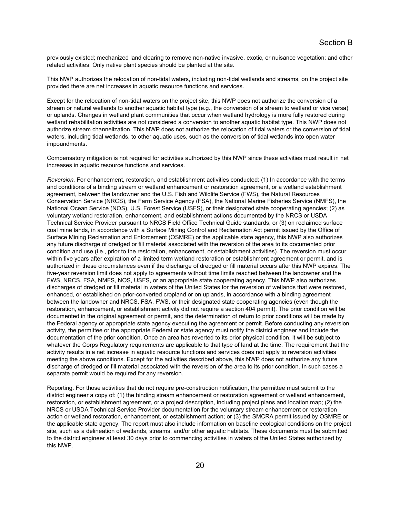previously existed; mechanized land clearing to remove non-native invasive, exotic, or nuisance vegetation; and other related activities. Only native plant species should be planted at the site.

This NWP authorizes the relocation of non-tidal waters, including non-tidal wetlands and streams, on the project site provided there are net increases in aquatic resource functions and services.

Except for the relocation of non-tidal waters on the project site, this NWP does not authorize the conversion of a stream or natural wetlands to another aquatic habitat type (e.g., the conversion of a stream to wetland or vice versa) or uplands. Changes in wetland plant communities that occur when wetland hydrology is more fully restored during wetland rehabilitation activities are not considered a conversion to another aquatic habitat type. This NWP does not authorize stream channelization. This NWP does not authorize the relocation of tidal waters or the conversion of tidal waters, including tidal wetlands, to other aquatic uses, such as the conversion of tidal wetlands into open water impoundments.

Compensatory mitigation is not required for activities authorized by this NWP since these activities must result in net increases in aquatic resource functions and services.

*Reversion*. For enhancement, restoration, and establishment activities conducted: (1) In accordance with the terms and conditions of a binding stream or wetland enhancement or restoration agreement, or a wetland establishment agreement, between the landowner and the U.S. Fish and Wildlife Service (FWS), the Natural Resources Conservation Service (NRCS), the Farm Service Agency (FSA), the National Marine Fisheries Service (NMFS), the National Ocean Service (NOS), U.S. Forest Service (USFS), or their designated state cooperating agencies; (2) as voluntary wetland restoration, enhancement, and establishment actions documented by the NRCS or USDA Technical Service Provider pursuant to NRCS Field Office Technical Guide standards; or (3) on reclaimed surface coal mine lands, in accordance with a Surface Mining Control and Reclamation Act permit issued by the Office of Surface Mining Reclamation and Enforcement (OSMRE) or the applicable state agency, this NWP also authorizes any future discharge of dredged or fill material associated with the reversion of the area to its documented prior condition and use (i.e., prior to the restoration, enhancement, or establishment activities). The reversion must occur within five years after expiration of a limited term wetland restoration or establishment agreement or permit, and is authorized in these circumstances even if the discharge of dredged or fill material occurs after this NWP expires. The five-year reversion limit does not apply to agreements without time limits reached between the landowner and the FWS, NRCS, FSA, NMFS, NOS, USFS, or an appropriate state cooperating agency. This NWP also authorizes discharges of dredged or fill material in waters of the United States for the reversion of wetlands that were restored, enhanced, or established on prior-converted cropland or on uplands, in accordance with a binding agreement between the landowner and NRCS, FSA, FWS, or their designated state cooperating agencies (even though the restoration, enhancement, or establishment activity did not require a section 404 permit). The prior condition will be documented in the original agreement or permit, and the determination of return to prior conditions will be made by the Federal agency or appropriate state agency executing the agreement or permit. Before conducting any reversion activity, the permittee or the appropriate Federal or state agency must notify the district engineer and include the documentation of the prior condition. Once an area has reverted to its prior physical condition, it will be subject to whatever the Corps Regulatory requirements are applicable to that type of land at the time. The requirement that the activity results in a net increase in aquatic resource functions and services does not apply to reversion activities meeting the above conditions. Except for the activities described above, this NWP does not authorize any future discharge of dredged or fill material associated with the reversion of the area to its prior condition. In such cases a separate permit would be required for any reversion.

Reporting. For those activities that do not require pre-construction notification, the permittee must submit to the district engineer a copy of: (1) the binding stream enhancement or restoration agreement or wetland enhancement, restoration, or establishment agreement, or a project description, including project plans and location map; (2) the NRCS or USDA Technical Service Provider documentation for the voluntary stream enhancement or restoration action or wetland restoration, enhancement, or establishment action; or (3) the SMCRA permit issued by OSMRE or the applicable state agency. The report must also include information on baseline ecological conditions on the project site, such as a delineation of wetlands, streams, and/or other aquatic habitats. These documents must be submitted to the district engineer at least 30 days prior to commencing activities in waters of the United States authorized by this NWP.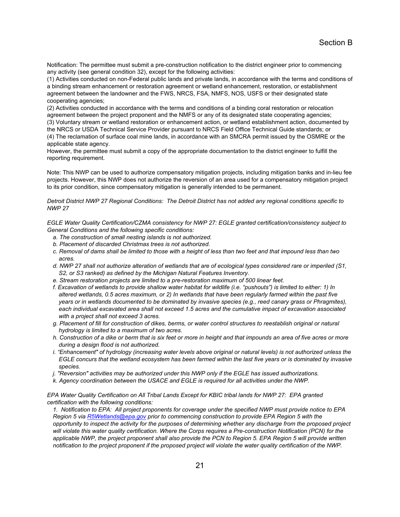Notification: The permittee must submit a pre-construction notification to the district engineer prior to commencing any activity (see general condition 32), except for the following activities:

(1) Activities conducted on non-Federal public lands and private lands, in accordance with the terms and conditions of a binding stream enhancement or restoration agreement or wetland enhancement, restoration, or establishment agreement between the landowner and the FWS, NRCS, FSA, NMFS, NOS, USFS or their designated state cooperating agencies;

(2) Activities conducted in accordance with the terms and conditions of a binding coral restoration or relocation agreement between the project proponent and the NMFS or any of its designated state cooperating agencies; (3) Voluntary stream or wetland restoration or enhancement action, or wetland establishment action, documented by the NRCS or USDA Technical Service Provider pursuant to NRCS Field Office Technical Guide standards; or (4) The reclamation of surface coal mine lands, in accordance with an SMCRA permit issued by the OSMRE or the applicable state agency.

However, the permittee must submit a copy of the appropriate documentation to the district engineer to fulfill the reporting requirement.

Note: This NWP can be used to authorize compensatory mitigation projects, including mitigation banks and in-lieu fee projects. However, this NWP does not authorize the reversion of an area used for a compensatory mitigation project to its prior condition, since compensatory mitigation is generally intended to be permanent.

*Detroit District NWP 27 Regional Conditions: The Detroit District has not added any regional conditions specific to NWP 27* 

*EGLE Water Quality Certification/CZMA consistency for NWP 27: EGLE granted certification/consistency subject to General Conditions and the following specific conditions:* 

- *a. The construction of small nesting islands is not authorized.*
- *b. Placement of discarded Christmas trees is not authorized.*
- *c. Removal of dams shall be limited to those with a height of less than two feet and that impound less than two acres.*
- *d. NWP 27 shall not authorize alteration of wetlands that are of ecological types considered rare or imperiled (S1, S2, or S3 ranked) as defined by the Michigan Natural Features Inventory.*
- *e. Stream restoration projects are limited to a pre-restoration maximum of 500 linear feet.*
- *f. Excavation of wetlands to provide shallow water habitat for wildlife (i.e. "pushouts") is limited to either: 1) In altered wetlands, 0.5 acres maximum, or 2) In wetlands that have been regularly farmed within the past five years or in wetlands documented to be dominated by invasive species (e.g., reed canary grass or Phragmites), each individual excavated area shall not exceed 1.5 acres and the cumulative impact of excavation associated with a project shall not exceed 3 acres.*
- *g. Placement of fill for construction of dikes, berms, or water control structures to reestablish original or natural hydrology is limited to a maximum of two acres.*
- *h. Construction of a dike or berm that is six feet or more in height and that impounds an area of five acres or more during a design flood is not authorized.*
- *i. "Enhancement" of hydrology (increasing water levels above original or natural levels) is not authorized unless the EGLE concurs that the wetland ecosystem has been farmed within the last five years or is dominated by invasive species.*
- *j. "Reversion" activities may be authorized under this NWP only if the EGLE has issued authorizations.*
- *k. Agency coordination between the USACE and EGLE is required for all activities under the NWP.*

*EPA Water Quality Certification on All Tribal Lands Except for KBIC tribal lands for NWP 27: EPA granted certification with the following conditions:* 

*1. Notification to EPA: All project proponents for coverage under the specified NWP must provide notice to EPA Region 5 via R5Wetlands@epa.gov prior to commencing construction to provide EPA Region 5 with the opportunity to inspect the activity for the purposes of determining whether any discharge from the proposed project will violate this water quality certification. Where the Corps requires a Pre-construction Notification (PCN) for the applicable NWP, the project proponent shall also provide the PCN to Region 5. EPA Region 5 will provide written notification to the project proponent if the proposed project will violate the water quality certification of the NWP.*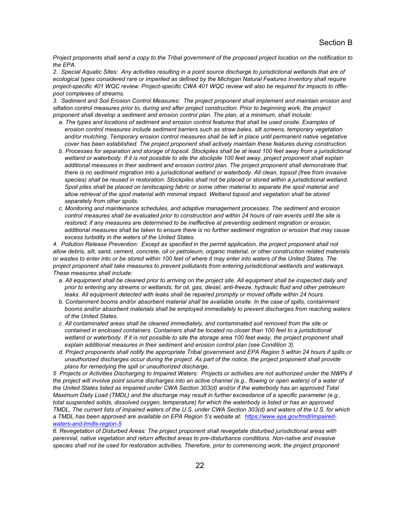*Project proponents shall send a copy to the Tribal government of the proposed project location on the notification to the EPA.* 

*2. Special Aquatic Sites: Any activities resulting in a point source discharge to jurisdictional wetlands that are of*  ecological types considered rare or imperiled as defined by the Michigan Natural Features Inventory shall require *project-specific 401 WQC review. Project-specific CWA 401 WQC review will also be required for impacts to rifflepool complexes of streams.* 

*3. Sediment and Soil Erosion Control Measures: The project proponent shall implement and maintain erosion and siltation control measures prior to, during and after project construction. Prior to beginning work, the project proponent shall develop a sediment and erosion control plan. The plan, at a minimum, shall include:* 

- *a. The types and locations of sediment and erosion control features that shall be used onsite. Examples of erosion control measures include sediment barriers such as straw bales, silt screens, temporary vegetation and/or mulching. Temporary erosion control measures shall be left in place until permanent native vegetative cover has been established. The project proponent shall actively maintain these features during construction.*
- *b. Processes for separation and storage of topsoil. Stockpiles shall be at least 100 feet away from a jurisdictional wetland or waterbody. If it is not possible to site the stockpile 100 feet away, project proponent shall explain additional measures in their sediment and erosion control plan. The project proponent shall demonstrate that there is no sediment migration into a jurisdictional wetland or waterbody. All clean, topsoil (free from invasive species) shall be reused in restoration. Stockpiles shall not be placed or stored within a jurisdictional wetland. Spoil piles shall be placed on landscaping fabric or some other material to separate the spoil material and allow retrieval of the spoil material with minimal impact. Wetland topsoil and vegetation shall be stored separately from other spoils.*
- *c. Monitoring and maintenance schedules, and adaptive management processes. The sediment and erosion control measures shall be evaluated prior to construction and within 24 hours of rain events until the site is restored; if any measures are determined to be ineffective at preventing sediment migration or erosion, additional measures shall be taken to ensure there is no further sediment migration or erosion that may cause excess turbidity in the waters of the United States.*

4. Pollution Release Prevention: Except as specified in the permit application, the project proponent shall not *allow debris, silt, sand, cement, concrete, oil or petroleum, organic material, or other construction related materials or wastes to enter into or be stored within 100 feet of where it may enter into waters of the United States. The project proponent shall take measures to prevent pollutants from entering jurisdictional wetlands and waterways. These measures shall include:* 

- *a. All equipment shall be cleaned prior to arriving on the project site. All equipment shall be inspected daily and prior to entering any streams or wetlands, for oil, gas, diesel, anti-freeze, hydraulic fluid and other petroleum*  leaks. All equipment detected with leaks shall be repaired promptly or moved offsite within 24 hours.
- *b. Containment booms and/or absorbent material shall be available onsite. In the case of spills, containment booms and/or absorbent materials shall be employed immediately to prevent discharges from reaching waters of the United States.*
- *c. All contaminated areas shall be cleaned immediately, and contaminated soil removed from the site or contained in enclosed containers. Containers shall be located no closer than 100 feet to a jurisdictional*  wetland or waterbody. If it is not possible to site the storage area 100 feet away, the project proponent shall *explain additional measures in their sediment and erosion control plan (see Condition 3).*
- *d. Project proponents shall notify the appropriate Tribal government and EPA Region 5 within 24 hours if spills or unauthorized discharges occur during the project. As part of the notice, the project proponent shall provide plans for remedying the spill or unauthorized discharge.*

*5 Projects or Activities Discharging to Impaired Waters: Projects or activities are not authorized under the NWPs if the project will involve point source discharges into an active channel (e.g., flowing or open waters) of a water of the United States listed as impaired under CWA Section 303(d) and/or if the waterbody has an approved Total Maximum Daily Load (TMDL) and the discharge may result in further exceedance of a specific parameter (e.g., total suspended solids, dissolved oxygen, temperature) for which the waterbody is listed or has an approved TMDL. The current lists of impaired waters of the U.S. under CWA Section 303(d) and waters of the U.S. for which a TMDL has been approved are available on EPA Region 5's website at: https://www.epa.gov/tmdl/impairedwaters-and-tmdls-region-5* 

*6. Revegetation of Disturbed Areas: The project proponent shall revegetate disturbed jurisdictional areas with perennial, native vegetation and return affected areas to pre-disturbance conditions. Non-native and invasive species shall not be used for restoration activities. Therefore, prior to commencing work, the project proponent*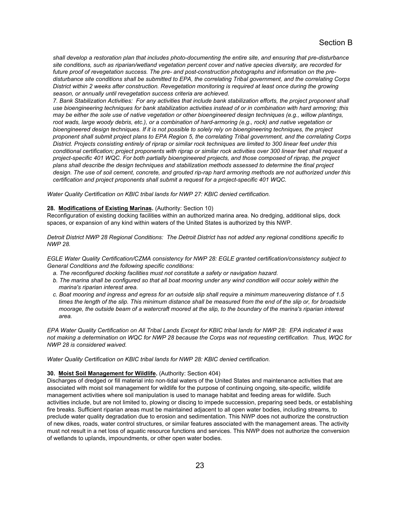*shall develop a restoration plan that includes photo-documenting the entire site, and ensuring that pre-disturbance site conditions, such as riparian/wetland vegetation percent cover and native species diversity, are recorded for future proof of revegetation success. The pre- and post-construction photographs and information on the predisturbance site conditions shall be submitted to EPA, the correlating Tribal government, and the correlating Corps District within 2 weeks after construction. Revegetation monitoring is required at least once during the growing season, or annually until revegetation success criteria are achieved.* 

*7. Bank Stabilization Activities: For any activities that include bank stabilization efforts, the project proponent shall use bioengineering techniques for bank stabilization activities instead of or in combination with hard armoring; this may be either the sole use of native vegetation or other bioengineered design techniques (e.g., willow plantings,*  root wads, large woody debris, etc.), or a combination of hard-armoring (e.g., rock) and native vegetation or *bioengineered design techniques. If it is not possible to solely rely on bioengineering techniques, the project proponent shall submit project plans to EPA Region 5, the correlating Tribal government, and the correlating Corps District. Projects consisting entirely of riprap or similar rock techniques are limited to 300 linear feet under this conditional certification; project proponents with riprap or similar rock activities over 300 linear feet shall request a project-specific 401 WQC. For both partially bioengineered projects, and those composed of riprap, the project plans shall describe the design techniques and stabilization methods assessed to determine the final project design. The use of soil cement, concrete, and grouted rip-rap hard armoring methods are not authorized under this certification and project proponents shall submit a request for a project-specific 401 WQC.* 

*Water Quality Certification on KBIC tribal lands for NWP 27: KBIC denied certification.* 

#### **28. Modifications of Existing Marinas.** (Authority: Section 10)

Reconfiguration of existing docking facilities within an authorized marina area. No dredging, additional slips, dock spaces, or expansion of any kind within waters of the United States is authorized by this NWP.

*Detroit District NWP 28 Regional Conditions: The Detroit District has not added any regional conditions specific to NWP 28.* 

*EGLE Water Quality Certification/CZMA consistency for NWP 28: EGLE granted certification/consistency subject to General Conditions and the following specific conditions:* 

- *a. The reconfigured docking facilities must not constitute a safety or navigation hazard.*
- *b. The marina shall be configured so that all boat mooring under any wind condition will occur solely within the marina's riparian interest area.*
- *c. Boat mooring and ingress and egress for an outside slip shall require a minimum maneuvering distance of 1.5 times the length of the slip. This minimum distance shall be measured from the end of the slip or, for broadside moorage, the outside beam of a watercraft moored at the slip, to the boundary of the marina's riparian interest area.*

*EPA Water Quality Certification on All Tribal Lands Except for KBIC tribal lands for NWP 28: EPA indicated it was not making a determination on WQC for NWP 28 because the Corps was not requesting certification. Thus, WQC for NWP 28 is considered waived.* 

*Water Quality Certification on KBIC tribal lands for NWP 28: KBIC denied certification.* 

#### **30. Moist Soil Management for Wildlife.** (Authority: Section 404)

Discharges of dredged or fill material into non-tidal waters of the United States and maintenance activities that are associated with moist soil management for wildlife for the purpose of continuing ongoing, site-specific, wildlife management activities where soil manipulation is used to manage habitat and feeding areas for wildlife. Such activities include, but are not limited to, plowing or discing to impede succession, preparing seed beds, or establishing fire breaks. Sufficient riparian areas must be maintained adjacent to all open water bodies, including streams, to preclude water quality degradation due to erosion and sedimentation. This NWP does not authorize the construction of new dikes, roads, water control structures, or similar features associated with the management areas. The activity must not result in a net loss of aquatic resource functions and services. This NWP does not authorize the conversion of wetlands to uplands, impoundments, or other open water bodies.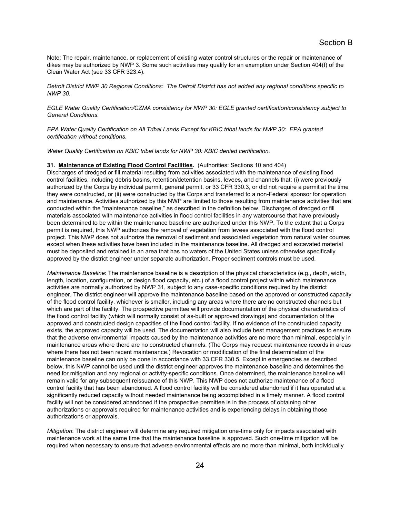Note: The repair, maintenance, or replacement of existing water control structures or the repair or maintenance of dikes may be authorized by NWP 3. Some such activities may qualify for an exemption under Section 404(f) of the Clean Water Act (see 33 CFR 323.4).

*Detroit District NWP 30 Regional Conditions: The Detroit District has not added any regional conditions specific to NWP 30.* 

*EGLE Water Quality Certification/CZMA consistency for NWP 30: EGLE granted certification/consistency subject to General Conditions.* 

*EPA Water Quality Certification on All Tribal Lands Except for KBIC tribal lands for NWP 30: EPA granted certification without conditions.* 

*Water Quality Certification on KBIC tribal lands for NWP 30: KBIC denied certification.* 

#### **31. Maintenance of Existing Flood Control Facilities.** (Authorities: Sections 10 and 404)

Discharges of dredged or fill material resulting from activities associated with the maintenance of existing flood control facilities, including debris basins, retention/detention basins, levees, and channels that: (i) were previously authorized by the Corps by individual permit, general permit, or 33 CFR 330.3, or did not require a permit at the time they were constructed, or (ii) were constructed by the Corps and transferred to a non-Federal sponsor for operation and maintenance. Activities authorized by this NWP are limited to those resulting from maintenance activities that are conducted within the "maintenance baseline," as described in the definition below. Discharges of dredged or fill materials associated with maintenance activities in flood control facilities in any watercourse that have previously been determined to be within the maintenance baseline are authorized under this NWP. To the extent that a Corps permit is required, this NWP authorizes the removal of vegetation from levees associated with the flood control project. This NWP does not authorize the removal of sediment and associated vegetation from natural water courses except when these activities have been included in the maintenance baseline. All dredged and excavated material must be deposited and retained in an area that has no waters of the United States unless otherwise specifically approved by the district engineer under separate authorization. Proper sediment controls must be used.

*Maintenance Baseline*: The maintenance baseline is a description of the physical characteristics (e.g., depth, width, length, location, configuration, or design flood capacity, etc.) of a flood control project within which maintenance activities are normally authorized by NWP 31, subject to any case-specific conditions required by the district engineer. The district engineer will approve the maintenance baseline based on the approved or constructed capacity of the flood control facility, whichever is smaller, including any areas where there are no constructed channels but which are part of the facility. The prospective permittee will provide documentation of the physical characteristics of the flood control facility (which will normally consist of as-built or approved drawings) and documentation of the approved and constructed design capacities of the flood control facility. If no evidence of the constructed capacity exists, the approved capacity will be used. The documentation will also include best management practices to ensure that the adverse environmental impacts caused by the maintenance activities are no more than minimal, especially in maintenance areas where there are no constructed channels. (The Corps may request maintenance records in areas where there has not been recent maintenance.) Revocation or modification of the final determination of the maintenance baseline can only be done in accordance with 33 CFR 330.5. Except in emergencies as described below, this NWP cannot be used until the district engineer approves the maintenance baseline and determines the need for mitigation and any regional or activity-specific conditions. Once determined, the maintenance baseline will remain valid for any subsequent reissuance of this NWP. This NWP does not authorize maintenance of a flood control facility that has been abandoned. A flood control facility will be considered abandoned if it has operated at a significantly reduced capacity without needed maintenance being accomplished in a timely manner. A flood control facility will not be considered abandoned if the prospective permittee is in the process of obtaining other authorizations or approvals required for maintenance activities and is experiencing delays in obtaining those authorizations or approvals.

*Mitigation*: The district engineer will determine any required mitigation one-time only for impacts associated with maintenance work at the same time that the maintenance baseline is approved. Such one-time mitigation will be required when necessary to ensure that adverse environmental effects are no more than minimal, both individually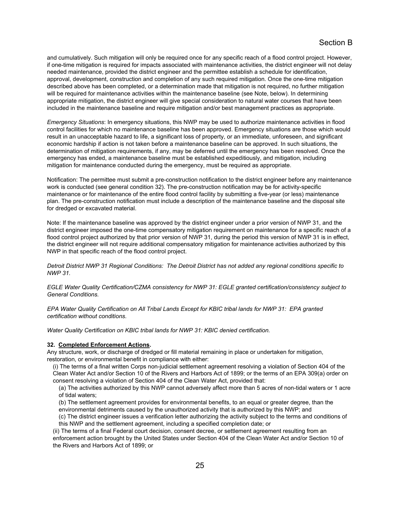and cumulatively. Such mitigation will only be required once for any specific reach of a flood control project. However, if one-time mitigation is required for impacts associated with maintenance activities, the district engineer will not delay needed maintenance, provided the district engineer and the permittee establish a schedule for identification, approval, development, construction and completion of any such required mitigation. Once the one-time mitigation described above has been completed, or a determination made that mitigation is not required, no further mitigation will be required for maintenance activities within the maintenance baseline (see Note, below). In determining appropriate mitigation, the district engineer will give special consideration to natural water courses that have been included in the maintenance baseline and require mitigation and/or best management practices as appropriate.

*Emergency Situations*: In emergency situations, this NWP may be used to authorize maintenance activities in flood control facilities for which no maintenance baseline has been approved. Emergency situations are those which would result in an unacceptable hazard to life, a significant loss of property, or an immediate, unforeseen, and significant economic hardship if action is not taken before a maintenance baseline can be approved. In such situations, the determination of mitigation requirements, if any, may be deferred until the emergency has been resolved. Once the emergency has ended, a maintenance baseline must be established expeditiously, and mitigation, including mitigation for maintenance conducted during the emergency, must be required as appropriate.

Notification: The permittee must submit a pre-construction notification to the district engineer before any maintenance work is conducted (see general condition 32). The pre-construction notification may be for activity-specific maintenance or for maintenance of the entire flood control facility by submitting a five-year (or less) maintenance plan. The pre-construction notification must include a description of the maintenance baseline and the disposal site for dredged or excavated material.

Note: If the maintenance baseline was approved by the district engineer under a prior version of NWP 31, and the district engineer imposed the one-time compensatory mitigation requirement on maintenance for a specific reach of a flood control project authorized by that prior version of NWP 31, during the period this version of NWP 31 is in effect, the district engineer will not require additional compensatory mitigation for maintenance activities authorized by this NWP in that specific reach of the flood control project.

*Detroit District NWP 31 Regional Conditions: The Detroit District has not added any regional conditions specific to NWP 31.* 

*EGLE Water Quality Certification/CZMA consistency for NWP 31: EGLE granted certification/consistency subject to General Conditions.* 

*EPA Water Quality Certification on All Tribal Lands Except for KBIC tribal lands for NWP 31: EPA granted certification without conditions.* 

*Water Quality Certification on KBIC tribal lands for NWP 31: KBIC denied certification.* 

#### **32. Completed Enforcement Actions.**

Any structure, work, or discharge of dredged or fill material remaining in place or undertaken for mitigation, restoration, or environmental benefit in compliance with either:

(i) The terms of a final written Corps non-judicial settlement agreement resolving a violation of Section 404 of the Clean Water Act and/or Section 10 of the Rivers and Harbors Act of 1899; or the terms of an EPA 309(a) order on consent resolving a violation of Section 404 of the Clean Water Act, provided that:

(a) The activities authorized by this NWP cannot adversely affect more than 5 acres of non-tidal waters or 1 acre of tidal waters;

(b) The settlement agreement provides for environmental benefits, to an equal or greater degree, than the

environmental detriments caused by the unauthorized activity that is authorized by this NWP; and

(c) The district engineer issues a verification letter authorizing the activity subject to the terms and conditions of this NWP and the settlement agreement, including a specified completion date; or

(ii) The terms of a final Federal court decision, consent decree, or settlement agreement resulting from an enforcement action brought by the United States under Section 404 of the Clean Water Act and/or Section 10 of the Rivers and Harbors Act of 1899; or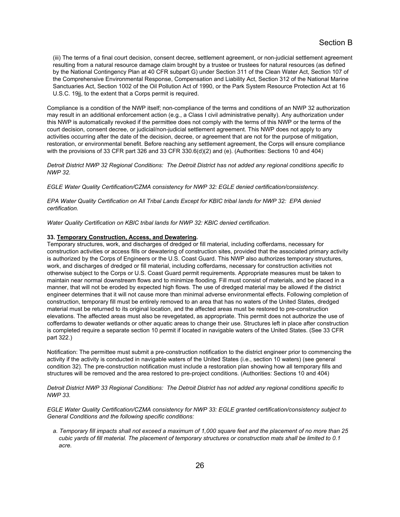(iii) The terms of a final court decision, consent decree, settlement agreement, or non-judicial settlement agreement resulting from a natural resource damage claim brought by a trustee or trustees for natural resources (as defined by the National Contingency Plan at 40 CFR subpart G) under Section 311 of the Clean Water Act, Section 107 of the Comprehensive Environmental Response, Compensation and Liability Act, Section 312 of the National Marine Sanctuaries Act, Section 1002 of the Oil Pollution Act of 1990, or the Park System Resource Protection Act at 16 U.S.C. 19jj, to the extent that a Corps permit is required.

Compliance is a condition of the NWP itself; non-compliance of the terms and conditions of an NWP 32 authorization may result in an additional enforcement action (e.g., a Class I civil administrative penalty). Any authorization under this NWP is automatically revoked if the permittee does not comply with the terms of this NWP or the terms of the court decision, consent decree, or judicial/non-judicial settlement agreement. This NWP does not apply to any activities occurring after the date of the decision, decree, or agreement that are not for the purpose of mitigation, restoration, or environmental benefit. Before reaching any settlement agreement, the Corps will ensure compliance with the provisions of 33 CFR part 326 and 33 CFR 330.6(d)(2) and (e). (Authorities: Sections 10 and 404)

*Detroit District NWP 32 Regional Conditions: The Detroit District has not added any regional conditions specific to NWP 32.* 

*EGLE Water Quality Certification/CZMA consistency for NWP 32: EGLE denied certification/consistency.* 

*EPA Water Quality Certification on All Tribal Lands Except for KBIC tribal lands for NWP 32: EPA denied certification.* 

*Water Quality Certification on KBIC tribal lands for NWP 32: KBIC denied certification.* 

#### **33. Temporary Construction, Access, and Dewatering.**

Temporary structures, work, and discharges of dredged or fill material, including cofferdams, necessary for construction activities or access fills or dewatering of construction sites, provided that the associated primary activity is authorized by the Corps of Engineers or the U.S. Coast Guard. This NWP also authorizes temporary structures, work, and discharges of dredged or fill material, including cofferdams, necessary for construction activities not otherwise subject to the Corps or U.S. Coast Guard permit requirements. Appropriate measures must be taken to maintain near normal downstream flows and to minimize flooding. Fill must consist of materials, and be placed in a manner, that will not be eroded by expected high flows. The use of dredged material may be allowed if the district engineer determines that it will not cause more than minimal adverse environmental effects. Following completion of construction, temporary fill must be entirely removed to an area that has no waters of the United States, dredged material must be returned to its original location, and the affected areas must be restored to pre-construction elevations. The affected areas must also be revegetated, as appropriate. This permit does not authorize the use of cofferdams to dewater wetlands or other aquatic areas to change their use. Structures left in place after construction is completed require a separate section 10 permit if located in navigable waters of the United States. (See 33 CFR part 322.)

Notification: The permittee must submit a pre-construction notification to the district engineer prior to commencing the activity if the activity is conducted in navigable waters of the United States (i.e., section 10 waters) (see general condition 32). The pre-construction notification must include a restoration plan showing how all temporary fills and structures will be removed and the area restored to pre-project conditions. (Authorities: Sections 10 and 404)

*Detroit District NWP 33 Regional Conditions: The Detroit District has not added any regional conditions specific to NWP 33.* 

*EGLE Water Quality Certification/CZMA consistency for NWP 33: EGLE granted certification/consistency subject to General Conditions and the following specific conditions:* 

*a. Temporary fill impacts shall not exceed a maximum of 1,000 square feet and the placement of no more than 25 cubic yards of fill material. The placement of temporary structures or construction mats shall be limited to 0.1 acre.*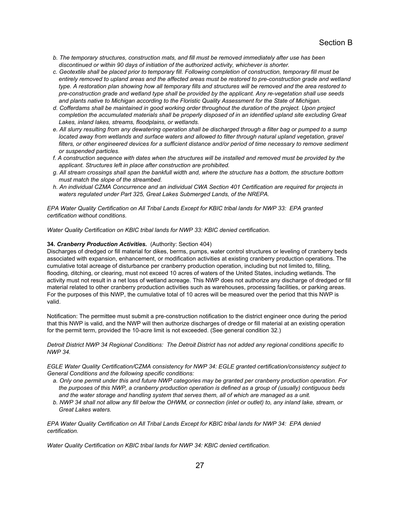- *b. The temporary structures, construction mats, and fill must be removed immediately after use has been discontinued or within 90 days of initiation of the authorized activity, whichever is shorter.*
- *c. Geotextile shall be placed prior to temporary fill. Following completion of construction, temporary fill must be entirely removed to upland areas and the affected areas must be restored to pre-construction grade and wetland type. A restoration plan showing how all temporary fills and structures will be removed and the area restored to pre-construction grade and wetland type shall be provided by the applicant. Any re-vegetation shall use seeds and plants native to Michigan according to the Floristic Quality Assessment for the State of Michigan.*
- *d. Cofferdams shall be maintained in good working order throughout the duration of the project. Upon project*  completion the accumulated materials shall be properly disposed of in an identified upland site excluding Great *Lakes, inland lakes, streams, floodplains, or wetlands.*
- *e. All slurry resulting from any dewatering operation shall be discharged through a filter bag or pumped to a sump*  located away from wetlands and surface waters and allowed to filter through natural upland vegetation, gravel filters, or other engineered devices for a sufficient distance and/or period of time necessary to remove sediment *or suspended particles.*
- *f. A construction sequence with dates when the structures will be installed and removed must be provided by the applicant. Structures left in place after construction are prohibited.*
- *g. All stream crossings shall span the bankfull width and, where the structure has a bottom, the structure bottom must match the slope of the streambed.*
- *h. An individual CZMA Concurrence and an individual CWA Section 401 Certification are required for projects in waters regulated under Part 325, Great Lakes Submerged Lands, of the NREPA.*

*EPA Water Quality Certification on All Tribal Lands Except for KBIC tribal lands for NWP 33: EPA granted certification without conditions.* 

*Water Quality Certification on KBIC tribal lands for NWP 33: KBIC denied certification.* 

## **34.** *Cranberry Production Activities***.** (Authority: Section 404)

Discharges of dredged or fill material for dikes, berms, pumps, water control structures or leveling of cranberry beds associated with expansion, enhancement, or modification activities at existing cranberry production operations. The cumulative total acreage of disturbance per cranberry production operation, including but not limited to, filling, flooding, ditching, or clearing, must not exceed 10 acres of waters of the United States, including wetlands. The activity must not result in a net loss of wetland acreage. This NWP does not authorize any discharge of dredged or fill material related to other cranberry production activities such as warehouses, processing facilities, or parking areas. For the purposes of this NWP, the cumulative total of 10 acres will be measured over the period that this NWP is valid.

Notification: The permittee must submit a pre-construction notification to the district engineer once during the period that this NWP is valid, and the NWP will then authorize discharges of dredge or fill material at an existing operation for the permit term, provided the 10-acre limit is not exceeded. (See general condition 32.)

*Detroit District NWP 34 Regional Conditions: The Detroit District has not added any regional conditions specific to NWP 34.* 

*EGLE Water Quality Certification/CZMA consistency for NWP 34: EGLE granted certification/consistency subject to General Conditions and the following specific conditions:* 

- *a. Only one permit under this and future NWP categories may be granted per cranberry production operation. For the purposes of this NWP, a cranberry production operation is defined as a group of (usually) contiguous beds and the water storage and handling system that serves them, all of which are managed as a unit.*
- *b. NWP 34 shall not allow any fill below the OHWM, or connection (inlet or outlet) to, any inland lake, stream, or Great Lakes waters.*

*EPA Water Quality Certification on All Tribal Lands Except for KBIC tribal lands for NWP 34: EPA denied certification.* 

*Water Quality Certification on KBIC tribal lands for NWP 34: KBIC denied certification.*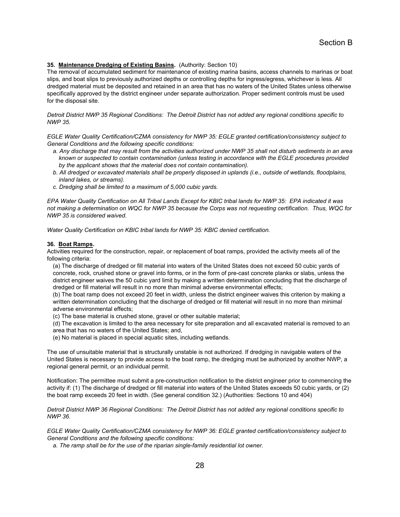## **35. Maintenance Dredging of Existing Basins.** (Authority: Section 10)

The removal of accumulated sediment for maintenance of existing marina basins, access channels to marinas or boat slips, and boat slips to previously authorized depths or controlling depths for ingress/egress, whichever is less. All dredged material must be deposited and retained in an area that has no waters of the United States unless otherwise specifically approved by the district engineer under separate authorization. Proper sediment controls must be used for the disposal site.

*Detroit District NWP 35 Regional Conditions: The Detroit District has not added any regional conditions specific to NWP 35.* 

*EGLE Water Quality Certification/CZMA consistency for NWP 35: EGLE granted certification/consistency subject to General Conditions and the following specific conditions:* 

- *a. Any discharge that may result from the activities authorized under NWP 35 shall not disturb sediments in an area known or suspected to contain contamination (unless testing in accordance with the EGLE procedures provided by the applicant shows that the material does not contain contamination).*
- *b. All dredged or excavated materials shall be properly disposed in uplands (i.e., outside of wetlands, floodplains, inland lakes, or streams).*
- *c. Dredging shall be limited to a maximum of 5,000 cubic yards.*

*EPA Water Quality Certification on All Tribal Lands Except for KBIC tribal lands for NWP 35: EPA indicated it was not making a determination on WQC for NWP 35 because the Corps was not requesting certification. Thus, WQC for NWP 35 is considered waived.* 

*Water Quality Certification on KBIC tribal lands for NWP 35: KBIC denied certification.* 

#### **36. Boat Ramps.**

Activities required for the construction, repair, or replacement of boat ramps, provided the activity meets all of the following criteria:

(a) The discharge of dredged or fill material into waters of the United States does not exceed 50 cubic yards of concrete, rock, crushed stone or gravel into forms, or in the form of pre-cast concrete planks or slabs, unless the district engineer waives the 50 cubic yard limit by making a written determination concluding that the discharge of dredged or fill material will result in no more than minimal adverse environmental effects;

(b) The boat ramp does not exceed 20 feet in width, unless the district engineer waives this criterion by making a written determination concluding that the discharge of dredged or fill material will result in no more than minimal adverse environmental effects;

(c) The base material is crushed stone, gravel or other suitable material;

(d) The excavation is limited to the area necessary for site preparation and all excavated material is removed to an area that has no waters of the United States; and,

(e) No material is placed in special aquatic sites, including wetlands.

The use of unsuitable material that is structurally unstable is not authorized. If dredging in navigable waters of the United States is necessary to provide access to the boat ramp, the dredging must be authorized by another NWP, a regional general permit, or an individual permit.

Notification: The permittee must submit a pre-construction notification to the district engineer prior to commencing the activity if: (1) The discharge of dredged or fill material into waters of the United States exceeds 50 cubic yards, or (2) the boat ramp exceeds 20 feet in width. (See general condition 32.) (Authorities: Sections 10 and 404)

*Detroit District NWP 36 Regional Conditions: The Detroit District has not added any regional conditions specific to NWP 36.* 

*EGLE Water Quality Certification/CZMA consistency for NWP 36: EGLE granted certification/consistency subject to General Conditions and the following specific conditions:* 

*a. The ramp shall be for the use of the riparian single-family residential lot owner.*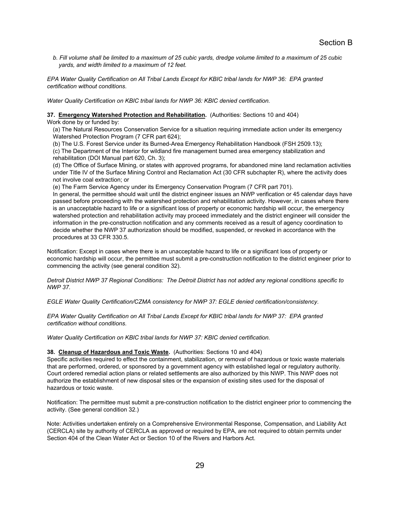*b. Fill volume shall be limited to a maximum of 25 cubic yards, dredge volume limited to a maximum of 25 cubic yards, and width limited to a maximum of 12 feet.* 

*EPA Water Quality Certification on All Tribal Lands Except for KBIC tribal lands for NWP 36: EPA granted certification without conditions.* 

*Water Quality Certification on KBIC tribal lands for NWP 36: KBIC denied certification.* 

**37. Emergency Watershed Protection and Rehabilitation.** (Authorities: Sections 10 and 404)

Work done by or funded by:

(a) The Natural Resources Conservation Service for a situation requiring immediate action under its emergency Watershed Protection Program (7 CFR part 624);

(b) The U.S. Forest Service under its Burned-Area Emergency Rehabilitation Handbook (FSH 2509.13); (c) The Department of the Interior for wildland fire management burned area emergency stabilization and rehabilitation (DOI Manual part 620, Ch. 3);

(d) The Office of Surface Mining, or states with approved programs, for abandoned mine land reclamation activities under Title IV of the Surface Mining Control and Reclamation Act (30 CFR subchapter R), where the activity does not involve coal extraction; or

(e) The Farm Service Agency under its Emergency Conservation Program (7 CFR part 701).

In general, the permittee should wait until the district engineer issues an NWP verification or 45 calendar days have passed before proceeding with the watershed protection and rehabilitation activity. However, in cases where there is an unacceptable hazard to life or a significant loss of property or economic hardship will occur, the emergency watershed protection and rehabilitation activity may proceed immediately and the district engineer will consider the information in the pre-construction notification and any comments received as a result of agency coordination to decide whether the NWP 37 authorization should be modified, suspended, or revoked in accordance with the procedures at 33 CFR 330.5.

Notification: Except in cases where there is an unacceptable hazard to life or a significant loss of property or economic hardship will occur, the permittee must submit a pre-construction notification to the district engineer prior to commencing the activity (see general condition 32).

*Detroit District NWP 37 Regional Conditions: The Detroit District has not added any regional conditions specific to NWP 37.* 

*EGLE Water Quality Certification/CZMA consistency for NWP 37: EGLE denied certification/consistency.* 

*EPA Water Quality Certification on All Tribal Lands Except for KBIC tribal lands for NWP 37: EPA granted certification without conditions.* 

*Water Quality Certification on KBIC tribal lands for NWP 37: KBIC denied certification.* 

## **38. Cleanup of Hazardous and Toxic Waste.** (Authorities: Sections 10 and 404)

Specific activities required to effect the containment, stabilization, or removal of hazardous or toxic waste materials that are performed, ordered, or sponsored by a government agency with established legal or regulatory authority. Court ordered remedial action plans or related settlements are also authorized by this NWP. This NWP does not authorize the establishment of new disposal sites or the expansion of existing sites used for the disposal of hazardous or toxic waste.

Notification: The permittee must submit a pre-construction notification to the district engineer prior to commencing the activity. (See general condition 32.)

Note: Activities undertaken entirely on a Comprehensive Environmental Response, Compensation, and Liability Act (CERCLA) site by authority of CERCLA as approved or required by EPA, are not required to obtain permits under Section 404 of the Clean Water Act or Section 10 of the Rivers and Harbors Act.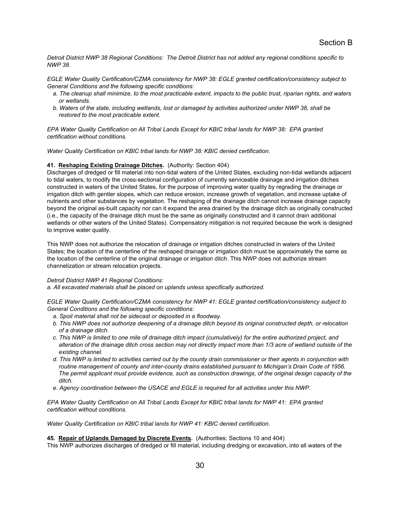*Detroit District NWP 38 Regional Conditions: The Detroit District has not added any regional conditions specific to NWP 38.* 

*EGLE Water Quality Certification/CZMA consistency for NWP 38: EGLE granted certification/consistency subject to General Conditions and the following specific conditions:* 

- *a. The cleanup shall minimize, to the most practicable extent, impacts to the public trust, riparian rights, and waters or wetlands.*
- *b. Waters of the state, including wetlands, lost or damaged by activities authorized under NWP 38, shall be restored to the most practicable extent.*

*EPA Water Quality Certification on All Tribal Lands Except for KBIC tribal lands for NWP 38: EPA granted certification without conditions.* 

*Water Quality Certification on KBIC tribal lands for NWP 38: KBIC denied certification.* 

## **41. Reshaping Existing Drainage Ditches.** (Authority: Section 404)

Discharges of dredged or fill material into non-tidal waters of the United States, excluding non-tidal wetlands adjacent to tidal waters, to modify the cross-sectional configuration of currently serviceable drainage and irrigation ditches constructed in waters of the United States, for the purpose of improving water quality by regrading the drainage or irrigation ditch with gentler slopes, which can reduce erosion, increase growth of vegetation, and increase uptake of nutrients and other substances by vegetation. The reshaping of the drainage ditch cannot increase drainage capacity beyond the original as-built capacity nor can it expand the area drained by the drainage ditch as originally constructed (i.e., the capacity of the drainage ditch must be the same as originally constructed and it cannot drain additional wetlands or other waters of the United States). Compensatory mitigation is not required because the work is designed to improve water quality.

This NWP does not authorize the relocation of drainage or irrigation ditches constructed in waters of the United States; the location of the centerline of the reshaped drainage or irrigation ditch must be approximately the same as the location of the centerline of the original drainage or irrigation ditch. This NWP does not authorize stream channelization or stream relocation projects.

#### *Detroit District NWP 41 Regional Conditions:*

*a. All excavated materials shall be placed on uplands unless specifically authorized.* 

*EGLE Water Quality Certification/CZMA consistency for NWP 41: EGLE granted certification/consistency subject to General Conditions and the following specific conditions:* 

- *a. Spoil material shall not be sidecast or deposited in a floodway.*
- *b. This NWP does not authorize deepening of a drainage ditch beyond its original constructed depth, or relocation of a drainage ditch.*
- *c. This NWP is limited to one mile of drainage ditch impact (cumulatively) for the entire authorized project, and alteration of the drainage ditch cross section may not directly impact more than 1/3 acre of wetland outside of the existing channel.*
- *d. This NWP is limited to activities carried out by the county drain commissioner or their agents in conjunction with*  routine management of county and inter-county drains established pursuant to Michigan's Drain Code of 1956. *The permit applicant must provide evidence, such as construction drawings, of the original design capacity of the ditch.*
- *e. Agency coordination between the USACE and EGLE is required for all activities under this NWP.*

*EPA Water Quality Certification on All Tribal Lands Except for KBIC tribal lands for NWP 41: EPA granted certification without conditions.* 

*Water Quality Certification on KBIC tribal lands for NWP 41: KBIC denied certification.* 

## **45. Repair of Uplands Damaged by Discrete Events.** (Authorities: Sections 10 and 404)

This NWP authorizes discharges of dredged or fill material, including dredging or excavation, into all waters of the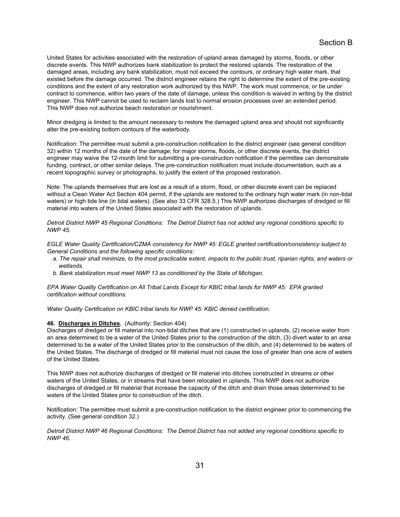United States for activities associated with the restoration of upland areas damaged by storms, floods, or other discrete events. This NWP authorizes bank stabilization to protect the restored uplands. The restoration of the damaged areas, including any bank stabilization, must not exceed the contours, or ordinary high water mark, that existed before the damage occurred. The district engineer retains the right to determine the extent of the pre-existing conditions and the extent of any restoration work authorized by this NWP. The work must commence, or be under contract to commence, within two years of the date of damage, unless this condition is waived in writing by the district engineer. This NWP cannot be used to reclaim lands lost to normal erosion processes over an extended period. This NWP does not authorize beach restoration or nourishment.

Minor dredging is limited to the amount necessary to restore the damaged upland area and should not significantly alter the pre-existing bottom contours of the waterbody.

Notification: The permittee must submit a pre-construction notification to the district engineer (see general condition 32) within 12 months of the date of the damage; for major storms, floods, or other discrete events, the district engineer may waive the 12-month limit for submitting a pre-construction notification if the permittee can demonstrate funding, contract, or other similar delays. The pre-construction notification must include documentation, such as a recent topographic survey or photographs, to justify the extent of the proposed restoration.

Note: The uplands themselves that are lost as a result of a storm, flood, or other discrete event can be replaced without a Clean Water Act Section 404 permit, if the uplands are restored to the ordinary high water mark (in non-tidal waters) or high tide line (in tidal waters). (See also 33 CFR 328.5.) This NWP authorizes discharges of dredged or fill material into waters of the United States associated with the restoration of uplands.

*Detroit District NWP 45 Regional Conditions: The Detroit District has not added any regional conditions specific to NWP 45.* 

*EGLE Water Quality Certification/CZMA consistency for NWP 45: EGLE granted certification/consistency subject to General Conditions and the following specific conditions:* 

- *a. The repair shall minimize, to the most practicable extent, impacts to the public trust, riparian rights, and waters or wetlands.*
- *b. Bank stabilization must meet NWP 13 as conditioned by the State of Michigan.*

*EPA Water Quality Certification on All Tribal Lands Except for KBIC tribal lands for NWP 45: EPA granted certification without conditions.* 

*Water Quality Certification on KBIC tribal lands for NWP 45: KBIC denied certification.* 

#### **46. Discharges in Ditches.** (Authority: Section 404)

Discharges of dredged or fill material into non-tidal ditches that are (1) constructed in uplands, (2) receive water from an area determined to be a water of the United States prior to the construction of the ditch, (3) divert water to an area determined to be a water of the United States prior to the construction of the ditch, and (4) determined to be waters of the United States. The discharge of dredged or fill material must not cause the loss of greater than one acre of waters of the United States.

This NWP does not authorize discharges of dredged or fill material into ditches constructed in streams or other waters of the United States, or in streams that have been relocated in uplands. This NWP does not authorize discharges of dredged or fill material that increase the capacity of the ditch and drain those areas determined to be waters of the United States prior to construction of the ditch.

Notification: The permittee must submit a pre-construction notification to the district engineer prior to commencing the activity. (See general condition 32.)

*Detroit District NWP 46 Regional Conditions: The Detroit District has not added any regional conditions specific to NWP 46.*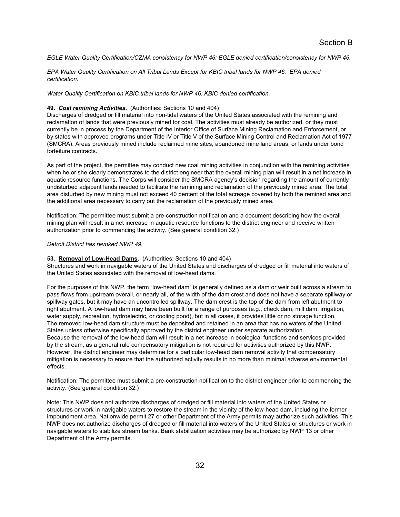*EGLE Water Quality Certification/CZMA consistency for NWP 46: EGLE denied certification/consistency for NWP 46.* 

*EPA Water Quality Certification on All Tribal Lands Except for KBIC tribal lands for NWP 46: EPA denied certification.* 

*Water Quality Certification on KBIC tribal lands for NWP 46: KBIC denied certification.* 

#### **49.** *Coal remining Activities***.** (Authorities: Sections 10 and 404)

Discharges of dredged or fill material into non-tidal waters of the United States associated with the remining and reclamation of lands that were previously mined for coal. The activities must already be authorized, or they must currently be in process by the Department of the Interior Office of Surface Mining Reclamation and Enforcement, or by states with approved programs under Title IV or Title V of the Surface Mining Control and Reclamation Act of 1977 (SMCRA). Areas previously mined include reclaimed mine sites, abandoned mine land areas, or lands under bond forfeiture contracts.

As part of the project, the permittee may conduct new coal mining activities in conjunction with the remining activities when he or she clearly demonstrates to the district engineer that the overall mining plan will result in a net increase in aquatic resource functions. The Corps will consider the SMCRA agency's decision regarding the amount of currently undisturbed adjacent lands needed to facilitate the remining and reclamation of the previously mined area. The total area disturbed by new mining must not exceed 40 percent of the total acreage covered by both the remined area and the additional area necessary to carry out the reclamation of the previously mined area.

Notification: The permittee must submit a pre-construction notification and a document describing how the overall mining plan will result in a net increase in aquatic resource functions to the district engineer and receive written authorization prior to commencing the activity. (See general condition 32.)

## *Detroit District has revoked NWP 49.*

**53. Removal of Low-Head Dams.** (Authorities: Sections 10 and 404)

Structures and work in navigable waters of the United States and discharges of dredged or fill material into waters of the United States associated with the removal of low-head dams.

For the purposes of this NWP, the term "low-head dam" is generally defined as a dam or weir built across a stream to pass flows from upstream overall, or nearly all, of the width of the dam crest and does not have a separate spillway or spillway gates, but it may have an uncontrolled spillway. The dam crest is the top of the dam from left abutment to right abutment. A low-head dam may have been built for a range of purposes (e.g., check dam, mill dam, irrigation, water supply, recreation, hydroelectric, or cooling pond), but in all cases, it provides little or no storage function. The removed low-head dam structure must be deposited and retained in an area that has no waters of the United States unless otherwise specifically approved by the district engineer under separate authorization. Because the removal of the low-head dam will result in a net increase in ecological functions and services provided by the stream, as a general rule compensatory mitigation is not required for activities authorized by this NWP. However, the district engineer may determine for a particular low-head dam removal activity that compensatory mitigation is necessary to ensure that the authorized activity results in no more than minimal adverse environmental effects.

Notification: The permittee must submit a pre-construction notification to the district engineer prior to commencing the activity. (See general condition 32.)

Note: This NWP does not authorize discharges of dredged or fill material into waters of the United States or structures or work in navigable waters to restore the stream in the vicinity of the low-head dam, including the former impoundment area. Nationwide permit 27 or other Department of the Army permits may authorize such activities. This NWP does not authorize discharges of dredged or fill material into waters of the United States or structures or work in navigable waters to stabilize stream banks. Bank stabilization activities may be authorized by NWP 13 or other Department of the Army permits.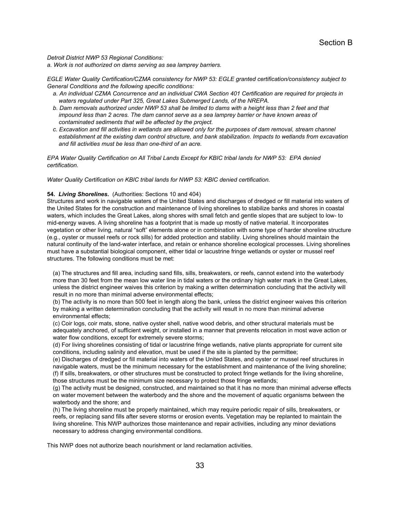*Detroit District NWP 53 Regional Conditions:* 

*a. Work is not authorized on dams serving as sea lamprey barriers.* 

*EGLE Water Quality Certification/CZMA consistency for NWP 53: EGLE granted certification/consistency subject to General Conditions and the following specific conditions:* 

- *a. An individual CZMA Concurrence and an individual CWA Section 401 Certification are required for projects in waters regulated under Part 325, Great Lakes Submerged Lands, of the NREPA.*
- *b. Dam removals authorized under NWP 53 shall be limited to dams with a height less than 2 feet and that*  impound less than 2 acres. The dam cannot serve as a sea lamprey barrier or have known areas of *contaminated sediments that will be affected by the project.*
- *c. Excavation and fill activities in wetlands are allowed only for the purposes of dam removal, stream channel establishment at the existing dam control structure, and bank stabilization. Impacts to wetlands from excavation and fill activities must be less than one-third of an acre.*

*EPA Water Quality Certification on All Tribal Lands Except for KBIC tribal lands for NWP 53: EPA denied certification.* 

*Water Quality Certification on KBIC tribal lands for NWP 53: KBIC denied certification.* 

# **54.** *Living Shorelines***.** (Authorities: Sections 10 and 404)

Structures and work in navigable waters of the United States and discharges of dredged or fill material into waters of the United States for the construction and maintenance of living shorelines to stabilize banks and shores in coastal waters, which includes the Great Lakes, along shores with small fetch and gentle slopes that are subject to low- to mid-energy waves. A living shoreline has a footprint that is made up mostly of native material. It incorporates vegetation or other living, natural "soft" elements alone or in combination with some type of harder shoreline structure (e.g., oyster or mussel reefs or rock sills) for added protection and stability. Living shorelines should maintain the natural continuity of the land-water interface, and retain or enhance shoreline ecological processes. Living shorelines must have a substantial biological component, either tidal or lacustrine fringe wetlands or oyster or mussel reef structures. The following conditions must be met:

(a) The structures and fill area, including sand fills, sills, breakwaters, or reefs, cannot extend into the waterbody more than 30 feet from the mean low water line in tidal waters or the ordinary high water mark in the Great Lakes, unless the district engineer waives this criterion by making a written determination concluding that the activity will result in no more than minimal adverse environmental effects;

(b) The activity is no more than 500 feet in length along the bank, unless the district engineer waives this criterion by making a written determination concluding that the activity will result in no more than minimal adverse environmental effects;

(c) Coir logs, coir mats, stone, native oyster shell, native wood debris, and other structural materials must be adequately anchored, of sufficient weight, or installed in a manner that prevents relocation in most wave action or water flow conditions, except for extremely severe storms;

(d) For living shorelines consisting of tidal or lacustrine fringe wetlands, native plants appropriate for current site conditions, including salinity and elevation, must be used if the site is planted by the permittee;

(e) Discharges of dredged or fill material into waters of the United States, and oyster or mussel reef structures in navigable waters, must be the minimum necessary for the establishment and maintenance of the living shoreline; (f) If sills, breakwaters, or other structures must be constructed to protect fringe wetlands for the living shoreline, those structures must be the minimum size necessary to protect those fringe wetlands;

(g) The activity must be designed, constructed, and maintained so that it has no more than minimal adverse effects on water movement between the waterbody and the shore and the movement of aquatic organisms between the waterbody and the shore; and

(h) The living shoreline must be properly maintained, which may require periodic repair of sills, breakwaters, or reefs, or replacing sand fills after severe storms or erosion events. Vegetation may be replanted to maintain the living shoreline. This NWP authorizes those maintenance and repair activities, including any minor deviations necessary to address changing environmental conditions.

This NWP does not authorize beach nourishment or land reclamation activities.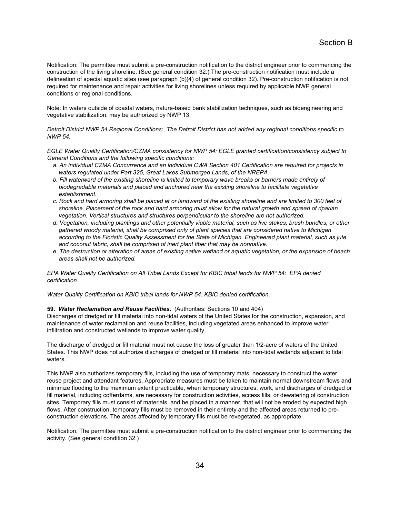Notification: The permittee must submit a pre-construction notification to the district engineer prior to commencing the construction of the living shoreline. (See general condition 32.) The pre-construction notification must include a delineation of special aquatic sites (see paragraph (b)(4) of general condition 32). Pre-construction notification is not required for maintenance and repair activities for living shorelines unless required by applicable NWP general conditions or regional conditions.

Note: In waters outside of coastal waters, nature-based bank stabilization techniques, such as bioengineering and vegetative stabilization, may be authorized by NWP 13.

*Detroit District NWP 54 Regional Conditions: The Detroit District has not added any regional conditions specific to NWP 54.* 

*EGLE Water Quality Certification/CZMA consistency for NWP 54: EGLE granted certification/consistency subject to General Conditions and the following specific conditions:* 

- *a. An individual CZMA Concurrence and an individual CWA Section 401 Certification are required for projects in waters regulated under Part 325, Great Lakes Submerged Lands, of the NREPA.*
- *b. Fill waterward of the existing shoreline is limited to temporary wave breaks or barriers made entirely of biodegradable materials and placed and anchored near the existing shoreline to facilitate vegetative establishment.*
- *c. Rock and hard armoring shall be placed at or landward of the existing shoreline and are limited to 300 feet of shoreline. Placement of the rock and hard armoring must allow for the natural growth and spread of riparian vegetation. Vertical structures and structures perpendicular to the shoreline are not authorized.*
- *d. Vegetation, including plantings and other potentially viable material, such as live stakes, brush bundles, or other gathered woody material, shall be comprised only of plant species that are considered native to Michigan according to the Floristic Quality Assessment for the State of Michigan. Engineered plant material, such as jute and coconut fabric, shall be comprised of inert plant fiber that may be nonnative.*
- *e. The destruction or alteration of areas of existing native wetland or aquatic vegetation, or the expansion of beach areas shall not be authorized.*

*EPA Water Quality Certification on All Tribal Lands Except for KBIC tribal lands for NWP 54: EPA denied certification.* 

*Water Quality Certification on KBIC tribal lands for NWP 54: KBIC denied certification.* 

#### **59.** *Water Reclamation and Reuse Facilities***.** (Authorities: Sections 10 and 404)

Discharges of dredged or fill material into non-tidal waters of the United States for the construction, expansion, and maintenance of water reclamation and reuse facilities, including vegetated areas enhanced to improve water infiltration and constructed wetlands to improve water quality.

The discharge of dredged or fill material must not cause the loss of greater than 1/2-acre of waters of the United States. This NWP does not authorize discharges of dredged or fill material into non-tidal wetlands adjacent to tidal waters.

This NWP also authorizes temporary fills, including the use of temporary mats, necessary to construct the water reuse project and attendant features. Appropriate measures must be taken to maintain normal downstream flows and minimize flooding to the maximum extent practicable, when temporary structures, work, and discharges of dredged or fill material, including cofferdams, are necessary for construction activities, access fills, or dewatering of construction sites. Temporary fills must consist of materials, and be placed in a manner, that will not be eroded by expected high flows. After construction, temporary fills must be removed in their entirety and the affected areas returned to preconstruction elevations. The areas affected by temporary fills must be revegetated, as appropriate.

Notification: The permittee must submit a pre-construction notification to the district engineer prior to commencing the activity. (See general condition 32.)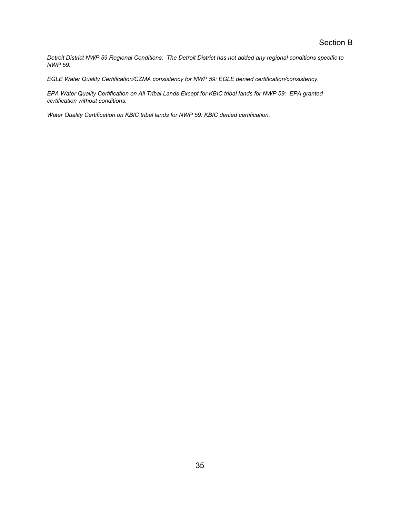*Detroit District NWP 59 Regional Conditions: The Detroit District has not added any regional conditions specific to NWP 59.* 

*EGLE Water Quality Certification/CZMA consistency for NWP 59: EGLE denied certification/consistency.* 

*EPA Water Quality Certification on All Tribal Lands Except for KBIC tribal lands for NWP 59: EPA granted certification without conditions.* 

*Water Quality Certification on KBIC tribal lands for NWP 59: KBIC denied certification.*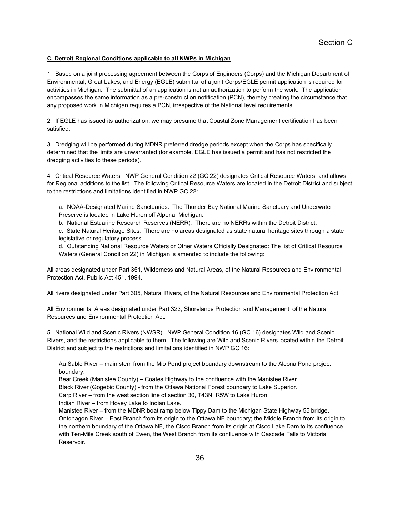## **C. Detroit Regional Conditions applicable to all NWPs in Michigan**

1. Based on a joint processing agreement between the Corps of Engineers (Corps) and the Michigan Department of Environmental, Great Lakes, and Energy (EGLE) submittal of a joint Corps/EGLE permit application is required for activities in Michigan. The submittal of an application is not an authorization to perform the work. The application encompasses the same information as a pre-construction notification (PCN), thereby creating the circumstance that any proposed work in Michigan requires a PCN, irrespective of the National level requirements.

2. If EGLE has issued its authorization, we may presume that Coastal Zone Management certification has been satisfied.

3. Dredging will be performed during MDNR preferred dredge periods except when the Corps has specifically determined that the limits are unwarranted (for example, EGLE has issued a permit and has not restricted the dredging activities to these periods).

4. Critical Resource Waters: NWP General Condition 22 (GC 22) designates Critical Resource Waters, and allows for Regional additions to the list. The following Critical Resource Waters are located in the Detroit District and subject to the restrictions and limitations identified in NWP GC 22:

a. NOAA-Designated Marine Sanctuaries: The Thunder Bay National Marine Sanctuary and Underwater Preserve is located in Lake Huron off Alpena, Michigan.

b. National Estuarine Research Reserves (NERR): There are no NERRs within the Detroit District.

c. State Natural Heritage Sites: There are no areas designated as state natural heritage sites through a state legislative or regulatory process.

d. Outstanding National Resource Waters or Other Waters Officially Designated: The list of Critical Resource Waters (General Condition 22) in Michigan is amended to include the following:

All areas designated under Part 351, Wilderness and Natural Areas, of the Natural Resources and Environmental Protection Act, Public Act 451, 1994.

All rivers designated under Part 305, Natural Rivers, of the Natural Resources and Environmental Protection Act.

All Environmental Areas designated under Part 323, Shorelands Protection and Management, of the Natural Resources and Environmental Protection Act.

5. National Wild and Scenic Rivers (NWSR): NWP General Condition 16 (GC 16) designates Wild and Scenic Rivers, and the restrictions applicable to them. The following are Wild and Scenic Rivers located within the Detroit District and subject to the restrictions and limitations identified in NWP GC 16:

Au Sable River – main stem from the Mio Pond project boundary downstream to the Alcona Pond project boundary.

Bear Creek (Manistee County) – Coates Highway to the confluence with the Manistee River.

Black River (Gogebic County) - from the Ottawa National Forest boundary to Lake Superior.

Carp River – from the west section line of section 30, T43N, R5W to Lake Huron.

Indian River – from Hovey Lake to Indian Lake.

Manistee River – from the MDNR boat ramp below Tippy Dam to the Michigan State Highway 55 bridge. Ontonagon River – East Branch from its origin to the Ottawa NF boundary; the Middle Branch from its origin to the northern boundary of the Ottawa NF, the Cisco Branch from its origin at Cisco Lake Dam to its confluence with Ten-Mile Creek south of Ewen, the West Branch from its confluence with Cascade Falls to Victoria Reservoir.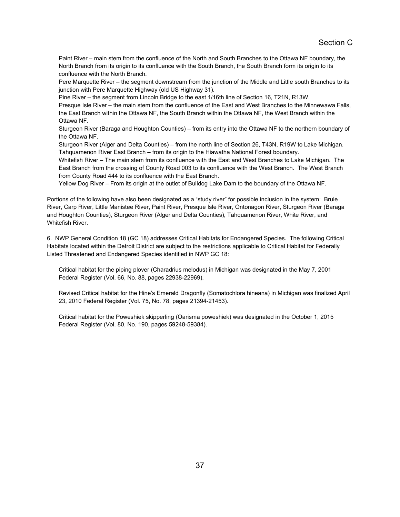Paint River – main stem from the confluence of the North and South Branches to the Ottawa NF boundary, the North Branch from its origin to its confluence with the South Branch, the South Branch form its origin to its confluence with the North Branch.

Pere Marquette River – the segment downstream from the junction of the Middle and Little south Branches to its junction with Pere Marquette Highway (old US Highway 31).

Pine River – the segment from Lincoln Bridge to the east 1/16th line of Section 16, T21N, R13W. Presque Isle River – the main stem from the confluence of the East and West Branches to the Minnewawa Falls,

the East Branch within the Ottawa NF, the South Branch within the Ottawa NF, the West Branch within the Ottawa NF.

Sturgeon River (Baraga and Houghton Counties) – from its entry into the Ottawa NF to the northern boundary of the Ottawa NF.

Sturgeon River (Alger and Delta Counties) – from the north line of Section 26, T43N, R19W to Lake Michigan. Tahquamenon River East Branch – from its origin to the Hiawatha National Forest boundary.

Whitefish River – The main stem from its confluence with the East and West Branches to Lake Michigan. The East Branch from the crossing of County Road 003 to its confluence with the West Branch. The West Branch from County Road 444 to its confluence with the East Branch.

Yellow Dog River – From its origin at the outlet of Bulldog Lake Dam to the boundary of the Ottawa NF.

Portions of the following have also been designated as a "study river" for possible inclusion in the system: Brule River, Carp River, Little Manistee River, Paint River, Presque Isle River, Ontonagon River, Sturgeon River (Baraga and Houghton Counties), Sturgeon River (Alger and Delta Counties), Tahquamenon River, White River, and Whitefish River.

6. NWP General Condition 18 (GC 18) addresses Critical Habitats for Endangered Species. The following Critical Habitats located within the Detroit District are subject to the restrictions applicable to Critical Habitat for Federally Listed Threatened and Endangered Species identified in NWP GC 18:

Critical habitat for the piping plover (Charadrius melodus) in Michigan was designated in the May 7, 2001 Federal Register (Vol. 66, No. 88, pages 22938-22969).

Revised Critical habitat for the Hine's Emerald Dragonfly (Somatochlora hineana) in Michigan was finalized April 23, 2010 Federal Register (Vol. 75, No. 78, pages 21394-21453).

Critical habitat for the Poweshiek skipperling (Oarisma poweshiek) was designated in the October 1, 2015 Federal Register (Vol. 80, No. 190, pages 59248-59384).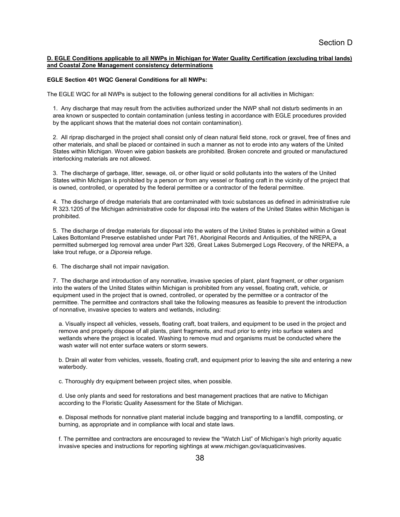## **D. EGLE Conditions applicable to all NWPs in Michigan for Water Quality Certification (excluding tribal lands) and Coastal Zone Management consistency determinations**

## **EGLE Section 401 WQC General Conditions for all NWPs:**

The EGLE WQC for all NWPs is subject to the following general conditions for all activities in Michigan:

1. Any discharge that may result from the activities authorized under the NWP shall not disturb sediments in an area known or suspected to contain contamination (unless testing in accordance with EGLE procedures provided by the applicant shows that the material does not contain contamination).

2. All riprap discharged in the project shall consist only of clean natural field stone, rock or gravel, free of fines and other materials, and shall be placed or contained in such a manner as not to erode into any waters of the United States within Michigan. Woven wire gabion baskets are prohibited. Broken concrete and grouted or manufactured interlocking materials are not allowed.

3. The discharge of garbage, litter, sewage, oil, or other liquid or solid pollutants into the waters of the United States within Michigan is prohibited by a person or from any vessel or floating craft in the vicinity of the project that is owned, controlled, or operated by the federal permittee or a contractor of the federal permittee.

4. The discharge of dredge materials that are contaminated with toxic substances as defined in administrative rule R 323.1205 of the Michigan administrative code for disposal into the waters of the United States within Michigan is prohibited.

5. The discharge of dredge materials for disposal into the waters of the United States is prohibited within a Great Lakes Bottomland Preserve established under Part 761, Aboriginal Records and Antiquities, of the NREPA, a permitted submerged log removal area under Part 326, Great Lakes Submerged Logs Recovery, of the NREPA, a lake trout refuge, or a *Diporeia* refuge.

6. The discharge shall not impair navigation.

7. The discharge and introduction of any nonnative, invasive species of plant, plant fragment, or other organism into the waters of the United States within Michigan is prohibited from any vessel, floating craft, vehicle, or equipment used in the project that is owned, controlled, or operated by the permittee or a contractor of the permittee. The permittee and contractors shall take the following measures as feasible to prevent the introduction of nonnative, invasive species to waters and wetlands, including:

a. Visually inspect all vehicles, vessels, floating craft, boat trailers, and equipment to be used in the project and remove and properly dispose of all plants, plant fragments, and mud prior to entry into surface waters and wetlands where the project is located. Washing to remove mud and organisms must be conducted where the wash water will not enter surface waters or storm sewers.

b. Drain all water from vehicles, vessels, floating craft, and equipment prior to leaving the site and entering a new waterbody.

c. Thoroughly dry equipment between project sites, when possible.

d. Use only plants and seed for restorations and best management practices that are native to Michigan according to the Floristic Quality Assessment for the State of Michigan.

e. Disposal methods for nonnative plant material include bagging and transporting to a landfill, composting, or burning, as appropriate and in compliance with local and state laws.

f. The permittee and contractors are encouraged to review the "Watch List" of Michigan's high priority aquatic invasive species and instructions for reporting sightings at www.michigan.gov/aquaticinvasives.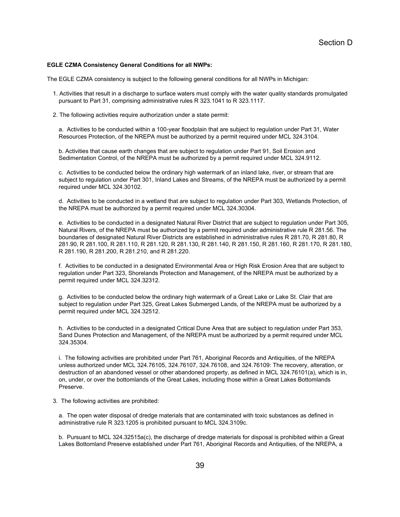#### **EGLE CZMA Consistency General Conditions for all NWPs:**

The EGLE CZMA consistency is subject to the following general conditions for all NWPs in Michigan:

- 1. Activities that result in a discharge to surface waters must comply with the water quality standards promulgated pursuant to Part 31, comprising administrative rules R 323.1041 to R 323.1117.
- 2. The following activities require authorization under a state permit:

a. Activities to be conducted within a 100-year floodplain that are subject to regulation under Part 31, Water Resources Protection, of the NREPA must be authorized by a permit required under MCL 324.3104.

b. Activities that cause earth changes that are subject to regulation under Part 91, Soil Erosion and Sedimentation Control, of the NREPA must be authorized by a permit required under MCL 324.9112.

c. Activities to be conducted below the ordinary high watermark of an inland lake, river, or stream that are subject to regulation under Part 301, Inland Lakes and Streams, of the NREPA must be authorized by a permit required under MCL 324.30102.

d. Activities to be conducted in a wetland that are subject to regulation under Part 303, Wetlands Protection, of the NREPA must be authorized by a permit required under MCL 324.30304.

e. Activities to be conducted in a designated Natural River District that are subject to regulation under Part 305, Natural Rivers, of the NREPA must be authorized by a permit required under administrative rule R 281.56. The boundaries of designated Natural River Districts are established in administrative rules R 281.70, R 281.80, R 281.90, R 281.100, R 281.110, R 281.120, R 281.130, R 281.140, R 281.150, R 281.160, R 281.170, R 281.180, R 281.190, R 281.200, R 281.210, and R 281.220.

f. Activities to be conducted in a designated Environmental Area or High Risk Erosion Area that are subject to regulation under Part 323, Shorelands Protection and Management, of the NREPA must be authorized by a permit required under MCL 324.32312.

g. Activities to be conducted below the ordinary high watermark of a Great Lake or Lake St. Clair that are subject to regulation under Part 325, Great Lakes Submerged Lands, of the NREPA must be authorized by a permit required under MCL 324.32512.

h. Activities to be conducted in a designated Critical Dune Area that are subject to regulation under Part 353, Sand Dunes Protection and Management, of the NREPA must be authorized by a permit required under MCL 324.35304.

i. The following activities are prohibited under Part 761, Aboriginal Records and Antiquities, of the NREPA unless authorized under MCL 324.76105, 324.76107, 324.76108, and 324.76109: The recovery, alteration, or destruction of an abandoned vessel or other abandoned property, as defined in MCL 324.76101(a), which is in, on, under, or over the bottomlands of the Great Lakes, including those within a Great Lakes Bottomlands Preserve.

3. The following activities are prohibited:

a. The open water disposal of dredge materials that are contaminated with toxic substances as defined in administrative rule R 323.1205 is prohibited pursuant to MCL 324.3109c.

b. Pursuant to MCL 324.32515a(c), the discharge of dredge materials for disposal is prohibited within a Great Lakes Bottomland Preserve established under Part 761, Aboriginal Records and Antiquities, of the NREPA, a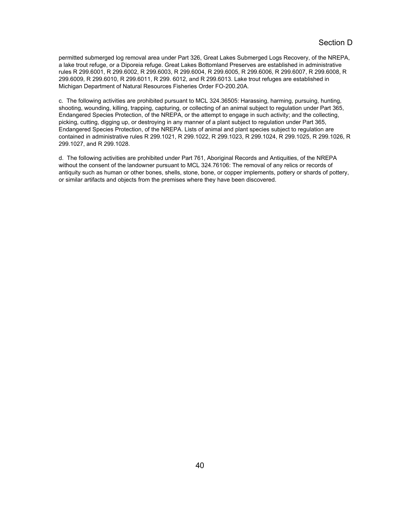permitted submerged log removal area under Part 326, Great Lakes Submerged Logs Recovery, of the NREPA, a lake trout refuge, or a Diporeia refuge. Great Lakes Bottomland Preserves are established in administrative rules R 299.6001, R 299.6002, R 299.6003, R 299.6004, R 299.6005, R 299.6006, R 299.6007, R 299.6008, R 299.6009, R 299.6010, R 299.6011, R 299. 6012, and R 299.6013. Lake trout refuges are established in Michigan Department of Natural Resources Fisheries Order FO-200.20A.

c. The following activities are prohibited pursuant to MCL 324.36505: Harassing, harming, pursuing, hunting, shooting, wounding, killing, trapping, capturing, or collecting of an animal subject to regulation under Part 365, Endangered Species Protection, of the NREPA, or the attempt to engage in such activity; and the collecting, picking, cutting, digging up, or destroying in any manner of a plant subject to regulation under Part 365, Endangered Species Protection, of the NREPA. Lists of animal and plant species subject to regulation are contained in administrative rules R 299.1021, R 299.1022, R 299.1023, R 299.1024, R 299.1025, R 299.1026, R 299.1027, and R 299.1028.

d. The following activities are prohibited under Part 761, Aboriginal Records and Antiquities, of the NREPA without the consent of the landowner pursuant to MCL 324.76106: The removal of any relics or records of antiquity such as human or other bones, shells, stone, bone, or copper implements, pottery or shards of pottery, or similar artifacts and objects from the premises where they have been discovered.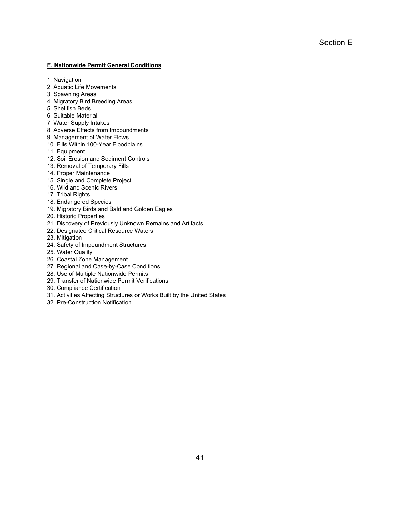#### **E. Nationwide Permit General Conditions**

- 1. Navigation
- 2. Aquatic Life Movements
- 3. Spawning Areas
- 4. Migratory Bird Breeding Areas
- 5. Shellfish Beds
- 6. Suitable Material
- 7. Water Supply Intakes
- 8. Adverse Effects from Impoundments
- 9. Management of Water Flows
- 10. Fills Within 100-Year Floodplains
- 11. Equipment
- 12. Soil Erosion and Sediment Controls
- 13. Removal of Temporary Fills
- 14. Proper Maintenance
- 15. Single and Complete Project
- 16. Wild and Scenic Rivers
- 17. Tribal Rights
- 18. Endangered Species
- 19. Migratory Birds and Bald and Golden Eagles
- 20. Historic Properties
- 21. Discovery of Previously Unknown Remains and Artifacts
- 22. Designated Critical Resource Waters
- 23. Mitigation
- 24. Safety of Impoundment Structures
- 25. Water Quality
- 26. Coastal Zone Management
- 27. Regional and Case-by-Case Conditions
- 28. Use of Multiple Nationwide Permits
- 29. Transfer of Nationwide Permit Verifications
- 30. Compliance Certification
- 31. Activities Affecting Structures or Works Built by the United States
- 32. Pre-Construction Notification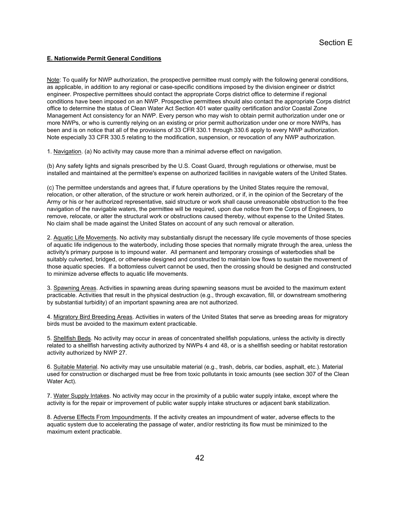## **E. Nationwide Permit General Conditions**

Note: To qualify for NWP authorization, the prospective permittee must comply with the following general conditions, as applicable, in addition to any regional or case-specific conditions imposed by the division engineer or district engineer. Prospective permittees should contact the appropriate Corps district office to determine if regional conditions have been imposed on an NWP. Prospective permittees should also contact the appropriate Corps district office to determine the status of Clean Water Act Section 401 water quality certification and/or Coastal Zone Management Act consistency for an NWP. Every person who may wish to obtain permit authorization under one or more NWPs, or who is currently relying on an existing or prior permit authorization under one or more NWPs, has been and is on notice that all of the provisions of 33 CFR 330.1 through 330.6 apply to every NWP authorization. Note especially 33 CFR 330.5 relating to the modification, suspension, or revocation of any NWP authorization.

1. Navigation. (a) No activity may cause more than a minimal adverse effect on navigation.

(b) Any safety lights and signals prescribed by the U.S. Coast Guard, through regulations or otherwise, must be installed and maintained at the permittee's expense on authorized facilities in navigable waters of the United States.

(c) The permittee understands and agrees that, if future operations by the United States require the removal, relocation, or other alteration, of the structure or work herein authorized, or if, in the opinion of the Secretary of the Army or his or her authorized representative, said structure or work shall cause unreasonable obstruction to the free navigation of the navigable waters, the permittee will be required, upon due notice from the Corps of Engineers, to remove, relocate, or alter the structural work or obstructions caused thereby, without expense to the United States. No claim shall be made against the United States on account of any such removal or alteration.

2. Aquatic Life Movements. No activity may substantially disrupt the necessary life cycle movements of those species of aquatic life indigenous to the waterbody, including those species that normally migrate through the area, unless the activity's primary purpose is to impound water. All permanent and temporary crossings of waterbodies shall be suitably culverted, bridged, or otherwise designed and constructed to maintain low flows to sustain the movement of those aquatic species. If a bottomless culvert cannot be used, then the crossing should be designed and constructed to minimize adverse effects to aquatic life movements.

3. Spawning Areas. Activities in spawning areas during spawning seasons must be avoided to the maximum extent practicable. Activities that result in the physical destruction (e.g., through excavation, fill, or downstream smothering by substantial turbidity) of an important spawning area are not authorized.

4. Migratory Bird Breeding Areas. Activities in waters of the United States that serve as breeding areas for migratory birds must be avoided to the maximum extent practicable.

5. Shellfish Beds. No activity may occur in areas of concentrated shellfish populations, unless the activity is directly related to a shellfish harvesting activity authorized by NWPs 4 and 48, or is a shellfish seeding or habitat restoration activity authorized by NWP 27.

6. Suitable Material. No activity may use unsuitable material (e.g., trash, debris, car bodies, asphalt, etc.). Material used for construction or discharged must be free from toxic pollutants in toxic amounts (see section 307 of the Clean Water Act).

7. Water Supply Intakes. No activity may occur in the proximity of a public water supply intake, except where the activity is for the repair or improvement of public water supply intake structures or adjacent bank stabilization.

8. Adverse Effects From Impoundments. If the activity creates an impoundment of water, adverse effects to the aquatic system due to accelerating the passage of water, and/or restricting its flow must be minimized to the maximum extent practicable.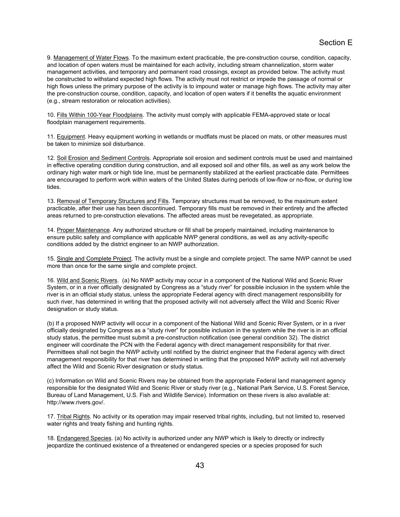9. Management of Water Flows. To the maximum extent practicable, the pre-construction course, condition, capacity, and location of open waters must be maintained for each activity, including stream channelization, storm water management activities, and temporary and permanent road crossings, except as provided below. The activity must be constructed to withstand expected high flows. The activity must not restrict or impede the passage of normal or high flows unless the primary purpose of the activity is to impound water or manage high flows. The activity may alter the pre-construction course, condition, capacity, and location of open waters if it benefits the aquatic environment (e.g., stream restoration or relocation activities).

10. Fills Within 100-Year Floodplains. The activity must comply with applicable FEMA-approved state or local floodplain management requirements.

11. Equipment. Heavy equipment working in wetlands or mudflats must be placed on mats, or other measures must be taken to minimize soil disturbance.

12. Soil Erosion and Sediment Controls. Appropriate soil erosion and sediment controls must be used and maintained in effective operating condition during construction, and all exposed soil and other fills, as well as any work below the ordinary high water mark or high tide line, must be permanently stabilized at the earliest practicable date. Permittees are encouraged to perform work within waters of the United States during periods of low-flow or no-flow, or during low tides.

13. Removal of Temporary Structures and Fills. Temporary structures must be removed, to the maximum extent practicable, after their use has been discontinued. Temporary fills must be removed in their entirety and the affected areas returned to pre-construction elevations. The affected areas must be revegetated, as appropriate.

14. Proper Maintenance. Any authorized structure or fill shall be properly maintained, including maintenance to ensure public safety and compliance with applicable NWP general conditions, as well as any activity-specific conditions added by the district engineer to an NWP authorization.

15. Single and Complete Project. The activity must be a single and complete project. The same NWP cannot be used more than once for the same single and complete project.

16. Wild and Scenic Rivers. (a) No NWP activity may occur in a component of the National Wild and Scenic River System, or in a river officially designated by Congress as a "study river" for possible inclusion in the system while the river is in an official study status, unless the appropriate Federal agency with direct management responsibility for such river, has determined in writing that the proposed activity will not adversely affect the Wild and Scenic River designation or study status.

(b) If a proposed NWP activity will occur in a component of the National Wild and Scenic River System, or in a river officially designated by Congress as a "study river" for possible inclusion in the system while the river is in an official study status, the permittee must submit a pre-construction notification (see general condition 32). The district engineer will coordinate the PCN with the Federal agency with direct management responsibility for that river. Permittees shall not begin the NWP activity until notified by the district engineer that the Federal agency with direct management responsibility for that river has determined in writing that the proposed NWP activity will not adversely affect the Wild and Scenic River designation or study status.

(c) Information on Wild and Scenic Rivers may be obtained from the appropriate Federal land management agency responsible for the designated Wild and Scenic River or study river (e.g., National Park Service, U.S. Forest Service, Bureau of Land Management, U.S. Fish and Wildlife Service). Information on these rivers is also available at: http://www.rivers.gov/.

17. Tribal Rights. No activity or its operation may impair reserved tribal rights, including, but not limited to, reserved water rights and treaty fishing and hunting rights.

18. Endangered Species. (a) No activity is authorized under any NWP which is likely to directly or indirectly jeopardize the continued existence of a threatened or endangered species or a species proposed for such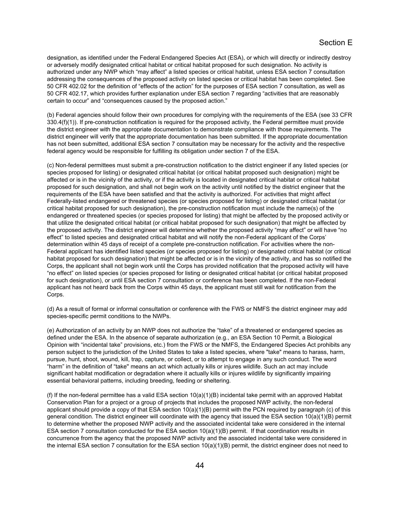designation, as identified under the Federal Endangered Species Act (ESA), or which will directly or indirectly destroy or adversely modify designated critical habitat or critical habitat proposed for such designation. No activity is authorized under any NWP which "may affect" a listed species or critical habitat, unless ESA section 7 consultation addressing the consequences of the proposed activity on listed species or critical habitat has been completed. See 50 CFR 402.02 for the definition of "effects of the action" for the purposes of ESA section 7 consultation, as well as 50 CFR 402.17, which provides further explanation under ESA section 7 regarding "activities that are reasonably certain to occur" and "consequences caused by the proposed action."

(b) Federal agencies should follow their own procedures for complying with the requirements of the ESA (see 33 CFR 330.4(f)(1)). If pre-construction notification is required for the proposed activity, the Federal permittee must provide the district engineer with the appropriate documentation to demonstrate compliance with those requirements. The district engineer will verify that the appropriate documentation has been submitted. If the appropriate documentation has not been submitted, additional ESA section 7 consultation may be necessary for the activity and the respective federal agency would be responsible for fulfilling its obligation under section 7 of the ESA.

(c) Non-federal permittees must submit a pre-construction notification to the district engineer if any listed species (or species proposed for listing) or designated critical habitat (or critical habitat proposed such designation) might be affected or is in the vicinity of the activity, or if the activity is located in designated critical habitat or critical habitat proposed for such designation, and shall not begin work on the activity until notified by the district engineer that the requirements of the ESA have been satisfied and that the activity is authorized. For activities that might affect Federally-listed endangered or threatened species (or species proposed for listing) or designated critical habitat (or critical habitat proposed for such designation), the pre-construction notification must include the name(s) of the endangered or threatened species (or species proposed for listing) that might be affected by the proposed activity or that utilize the designated critical habitat (or critical habitat proposed for such designation) that might be affected by the proposed activity. The district engineer will determine whether the proposed activity "may affect" or will have "no effect" to listed species and designated critical habitat and will notify the non-Federal applicant of the Corps' determination within 45 days of receipt of a complete pre-construction notification. For activities where the non-Federal applicant has identified listed species (or species proposed for listing) or designated critical habitat (or critical habitat proposed for such designation) that might be affected or is in the vicinity of the activity, and has so notified the Corps, the applicant shall not begin work until the Corps has provided notification that the proposed activity will have "no effect" on listed species (or species proposed for listing or designated critical habitat (or critical habitat proposed for such designation), or until ESA section 7 consultation or conference has been completed. If the non-Federal applicant has not heard back from the Corps within 45 days, the applicant must still wait for notification from the Corps.

(d) As a result of formal or informal consultation or conference with the FWS or NMFS the district engineer may add species-specific permit conditions to the NWPs.

(e) Authorization of an activity by an NWP does not authorize the "take" of a threatened or endangered species as defined under the ESA. In the absence of separate authorization (e.g., an ESA Section 10 Permit, a Biological Opinion with "incidental take" provisions, etc.) from the FWS or the NMFS, the Endangered Species Act prohibits any person subject to the jurisdiction of the United States to take a listed species, where "take" means to harass, harm, pursue, hunt, shoot, wound, kill, trap, capture, or collect, or to attempt to engage in any such conduct. The word "harm" in the definition of "take'' means an act which actually kills or injures wildlife. Such an act may include significant habitat modification or degradation where it actually kills or injures wildlife by significantly impairing essential behavioral patterns, including breeding, feeding or sheltering.

(f) If the non-federal permittee has a valid ESA section  $10(a)(1)(B)$  incidental take permit with an approved Habitat Conservation Plan for a project or a group of projects that includes the proposed NWP activity, the non-federal applicant should provide a copy of that ESA section 10(a)(1)(B) permit with the PCN required by paragraph (c) of this general condition. The district engineer will coordinate with the agency that issued the ESA section 10(a)(1)(B) permit to determine whether the proposed NWP activity and the associated incidental take were considered in the internal ESA section 7 consultation conducted for the ESA section 10(a)(1)(B) permit. If that coordination results in concurrence from the agency that the proposed NWP activity and the associated incidental take were considered in the internal ESA section 7 consultation for the ESA section 10(a)(1)(B) permit, the district engineer does not need to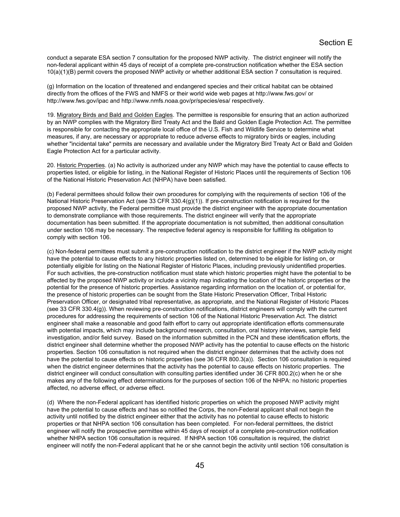conduct a separate ESA section 7 consultation for the proposed NWP activity. The district engineer will notify the non-federal applicant within 45 days of receipt of a complete pre-construction notification whether the ESA section 10(a)(1)(B) permit covers the proposed NWP activity or whether additional ESA section 7 consultation is required.

(g) Information on the location of threatened and endangered species and their critical habitat can be obtained directly from the offices of the FWS and NMFS or their world wide web pages at http://www.fws.gov/ or http://www.fws.gov/ipac and http://www.nmfs.noaa.gov/pr/species/esa/ respectively.

19. Migratory Birds and Bald and Golden Eagles. The permittee is responsible for ensuring that an action authorized by an NWP complies with the Migratory Bird Treaty Act and the Bald and Golden Eagle Protection Act. The permittee is responsible for contacting the appropriate local office of the U.S. Fish and Wildlife Service to determine what measures, if any, are necessary or appropriate to reduce adverse effects to migratory birds or eagles, including whether "incidental take" permits are necessary and available under the Migratory Bird Treaty Act or Bald and Golden Eagle Protection Act for a particular activity.

20. Historic Properties. (a) No activity is authorized under any NWP which may have the potential to cause effects to properties listed, or eligible for listing, in the National Register of Historic Places until the requirements of Section 106 of the National Historic Preservation Act (NHPA) have been satisfied.

(b) Federal permittees should follow their own procedures for complying with the requirements of section 106 of the National Historic Preservation Act (see 33 CFR 330.4(g)(1)). If pre-construction notification is required for the proposed NWP activity, the Federal permittee must provide the district engineer with the appropriate documentation to demonstrate compliance with those requirements. The district engineer will verify that the appropriate documentation has been submitted. If the appropriate documentation is not submitted, then additional consultation under section 106 may be necessary. The respective federal agency is responsible for fulfilling its obligation to comply with section 106.

(c) Non-federal permittees must submit a pre-construction notification to the district engineer if the NWP activity might have the potential to cause effects to any historic properties listed on, determined to be eligible for listing on, or potentially eligible for listing on the National Register of Historic Places, including previously unidentified properties. For such activities, the pre-construction notification must state which historic properties might have the potential to be affected by the proposed NWP activity or include a vicinity map indicating the location of the historic properties or the potential for the presence of historic properties. Assistance regarding information on the location of, or potential for, the presence of historic properties can be sought from the State Historic Preservation Officer, Tribal Historic Preservation Officer, or designated tribal representative, as appropriate, and the National Register of Historic Places (see 33 CFR 330.4(g)). When reviewing pre-construction notifications, district engineers will comply with the current procedures for addressing the requirements of section 106 of the National Historic Preservation Act. The district engineer shall make a reasonable and good faith effort to carry out appropriate identification efforts commensurate with potential impacts, which may include background research, consultation, oral history interviews, sample field investigation, and/or field survey. Based on the information submitted in the PCN and these identification efforts, the district engineer shall determine whether the proposed NWP activity has the potential to cause effects on the historic properties. Section 106 consultation is not required when the district engineer determines that the activity does not have the potential to cause effects on historic properties (see 36 CFR 800.3(a)). Section 106 consultation is required when the district engineer determines that the activity has the potential to cause effects on historic properties. The district engineer will conduct consultation with consulting parties identified under 36 CFR 800.2(c) when he or she makes any of the following effect determinations for the purposes of section 106 of the NHPA: no historic properties affected, no adverse effect, or adverse effect.

(d) Where the non-Federal applicant has identified historic properties on which the proposed NWP activity might have the potential to cause effects and has so notified the Corps, the non-Federal applicant shall not begin the activity until notified by the district engineer either that the activity has no potential to cause effects to historic properties or that NHPA section 106 consultation has been completed. For non-federal permittees, the district engineer will notify the prospective permittee within 45 days of receipt of a complete pre-construction notification whether NHPA section 106 consultation is required. If NHPA section 106 consultation is required, the district engineer will notify the non-Federal applicant that he or she cannot begin the activity until section 106 consultation is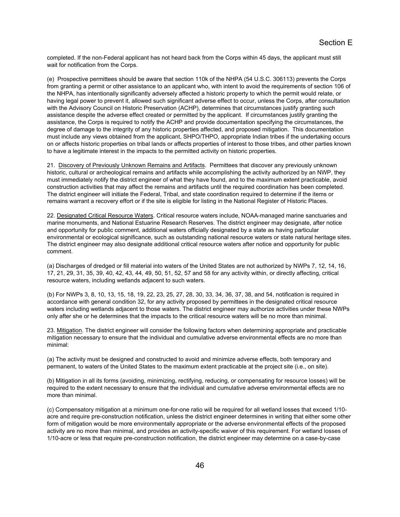completed. If the non-Federal applicant has not heard back from the Corps within 45 days, the applicant must still wait for notification from the Corps.

(e) Prospective permittees should be aware that section 110k of the NHPA (54 U.S.C. 306113) prevents the Corps from granting a permit or other assistance to an applicant who, with intent to avoid the requirements of section 106 of the NHPA, has intentionally significantly adversely affected a historic property to which the permit would relate, or having legal power to prevent it, allowed such significant adverse effect to occur, unless the Corps, after consultation with the Advisory Council on Historic Preservation (ACHP), determines that circumstances justify granting such assistance despite the adverse effect created or permitted by the applicant. If circumstances justify granting the assistance, the Corps is required to notify the ACHP and provide documentation specifying the circumstances, the degree of damage to the integrity of any historic properties affected, and proposed mitigation. This documentation must include any views obtained from the applicant, SHPO/THPO, appropriate Indian tribes if the undertaking occurs on or affects historic properties on tribal lands or affects properties of interest to those tribes, and other parties known to have a legitimate interest in the impacts to the permitted activity on historic properties.

21. Discovery of Previously Unknown Remains and Artifacts. Permittees that discover any previously unknown historic, cultural or archeological remains and artifacts while accomplishing the activity authorized by an NWP, they must immediately notify the district engineer of what they have found, and to the maximum extent practicable, avoid construction activities that may affect the remains and artifacts until the required coordination has been completed. The district engineer will initiate the Federal, Tribal, and state coordination required to determine if the items or remains warrant a recovery effort or if the site is eligible for listing in the National Register of Historic Places.

22. Designated Critical Resource Waters. Critical resource waters include, NOAA-managed marine sanctuaries and marine monuments, and National Estuarine Research Reserves. The district engineer may designate, after notice and opportunity for public comment, additional waters officially designated by a state as having particular environmental or ecological significance, such as outstanding national resource waters or state natural heritage sites. The district engineer may also designate additional critical resource waters after notice and opportunity for public comment.

(a) Discharges of dredged or fill material into waters of the United States are not authorized by NWPs 7, 12, 14, 16, 17, 21, 29, 31, 35, 39, 40, 42, 43, 44, 49, 50, 51, 52, 57 and 58 for any activity within, or directly affecting, critical resource waters, including wetlands adjacent to such waters.

(b) For NWPs 3, 8, 10, 13, 15, 18, 19, 22, 23, 25, 27, 28, 30, 33, 34, 36, 37, 38, and 54, notification is required in accordance with general condition 32, for any activity proposed by permittees in the designated critical resource waters including wetlands adjacent to those waters. The district engineer may authorize activities under these NWPs only after she or he determines that the impacts to the critical resource waters will be no more than minimal.

23. Mitigation. The district engineer will consider the following factors when determining appropriate and practicable mitigation necessary to ensure that the individual and cumulative adverse environmental effects are no more than minimal:

(a) The activity must be designed and constructed to avoid and minimize adverse effects, both temporary and permanent, to waters of the United States to the maximum extent practicable at the project site (i.e., on site).

(b) Mitigation in all its forms (avoiding, minimizing, rectifying, reducing, or compensating for resource losses) will be required to the extent necessary to ensure that the individual and cumulative adverse environmental effects are no more than minimal.

(c) Compensatory mitigation at a minimum one-for-one ratio will be required for all wetland losses that exceed 1/10 acre and require pre-construction notification, unless the district engineer determines in writing that either some other form of mitigation would be more environmentally appropriate or the adverse environmental effects of the proposed activity are no more than minimal, and provides an activity-specific waiver of this requirement. For wetland losses of 1/10-acre or less that require pre-construction notification, the district engineer may determine on a case-by-case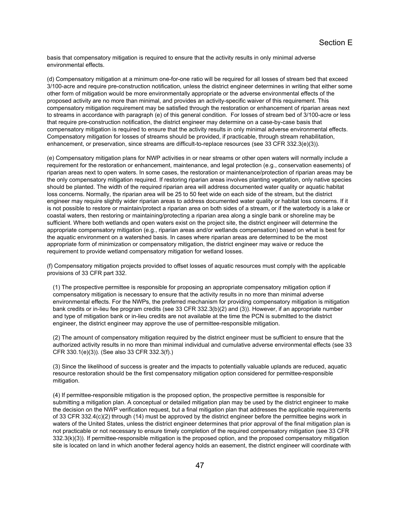basis that compensatory mitigation is required to ensure that the activity results in only minimal adverse environmental effects.

(d) Compensatory mitigation at a minimum one-for-one ratio will be required for all losses of stream bed that exceed 3/100-acre and require pre-construction notification, unless the district engineer determines in writing that either some other form of mitigation would be more environmentally appropriate or the adverse environmental effects of the proposed activity are no more than minimal, and provides an activity-specific waiver of this requirement. This compensatory mitigation requirement may be satisfied through the restoration or enhancement of riparian areas next to streams in accordance with paragraph (e) of this general condition. For losses of stream bed of 3/100-acre or less that require pre-construction notification, the district engineer may determine on a case-by-case basis that compensatory mitigation is required to ensure that the activity results in only minimal adverse environmental effects. Compensatory mitigation for losses of streams should be provided, if practicable, through stream rehabilitation, enhancement, or preservation, since streams are difficult-to-replace resources (see 33 CFR 332.3(e)(3)).

(e) Compensatory mitigation plans for NWP activities in or near streams or other open waters will normally include a requirement for the restoration or enhancement, maintenance, and legal protection (e.g., conservation easements) of riparian areas next to open waters. In some cases, the restoration or maintenance/protection of riparian areas may be the only compensatory mitigation required. If restoring riparian areas involves planting vegetation, only native species should be planted. The width of the required riparian area will address documented water quality or aquatic habitat loss concerns. Normally, the riparian area will be 25 to 50 feet wide on each side of the stream, but the district engineer may require slightly wider riparian areas to address documented water quality or habitat loss concerns. If it is not possible to restore or maintain/protect a riparian area on both sides of a stream, or if the waterbody is a lake or coastal waters, then restoring or maintaining/protecting a riparian area along a single bank or shoreline may be sufficient. Where both wetlands and open waters exist on the project site, the district engineer will determine the appropriate compensatory mitigation (e.g., riparian areas and/or wetlands compensation) based on what is best for the aquatic environment on a watershed basis. In cases where riparian areas are determined to be the most appropriate form of minimization or compensatory mitigation, the district engineer may waive or reduce the requirement to provide wetland compensatory mitigation for wetland losses.

(f) Compensatory mitigation projects provided to offset losses of aquatic resources must comply with the applicable provisions of 33 CFR part 332.

(1) The prospective permittee is responsible for proposing an appropriate compensatory mitigation option if compensatory mitigation is necessary to ensure that the activity results in no more than minimal adverse environmental effects. For the NWPs, the preferred mechanism for providing compensatory mitigation is mitigation bank credits or in-lieu fee program credits (see 33 CFR 332.3(b)(2) and (3)). However, if an appropriate number and type of mitigation bank or in-lieu credits are not available at the time the PCN is submitted to the district engineer, the district engineer may approve the use of permittee-responsible mitigation.

(2) The amount of compensatory mitigation required by the district engineer must be sufficient to ensure that the authorized activity results in no more than minimal individual and cumulative adverse environmental effects (see 33 CFR 330.1(e)(3)). (See also 33 CFR 332.3(f).)

(3) Since the likelihood of success is greater and the impacts to potentially valuable uplands are reduced, aquatic resource restoration should be the first compensatory mitigation option considered for permittee-responsible mitigation.

(4) If permittee-responsible mitigation is the proposed option, the prospective permittee is responsible for submitting a mitigation plan. A conceptual or detailed mitigation plan may be used by the district engineer to make the decision on the NWP verification request, but a final mitigation plan that addresses the applicable requirements of 33 CFR 332.4(c)(2) through (14) must be approved by the district engineer before the permittee begins work in waters of the United States, unless the district engineer determines that prior approval of the final mitigation plan is not practicable or not necessary to ensure timely completion of the required compensatory mitigation (see 33 CFR 332.3(k)(3)). If permittee-responsible mitigation is the proposed option, and the proposed compensatory mitigation site is located on land in which another federal agency holds an easement, the district engineer will coordinate with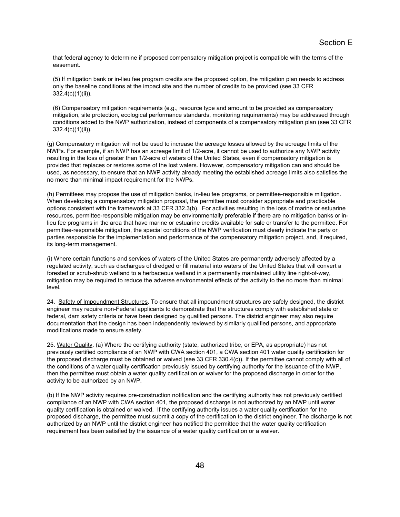that federal agency to determine if proposed compensatory mitigation project is compatible with the terms of the easement.

(5) If mitigation bank or in-lieu fee program credits are the proposed option, the mitigation plan needs to address only the baseline conditions at the impact site and the number of credits to be provided (see 33 CFR 332.4(c)(1)(ii)).

(6) Compensatory mitigation requirements (e.g., resource type and amount to be provided as compensatory mitigation, site protection, ecological performance standards, monitoring requirements) may be addressed through conditions added to the NWP authorization, instead of components of a compensatory mitigation plan (see 33 CFR 332.4(c)(1)(ii)).

(g) Compensatory mitigation will not be used to increase the acreage losses allowed by the acreage limits of the NWPs. For example, if an NWP has an acreage limit of 1/2-acre, it cannot be used to authorize any NWP activity resulting in the loss of greater than 1/2-acre of waters of the United States, even if compensatory mitigation is provided that replaces or restores some of the lost waters. However, compensatory mitigation can and should be used, as necessary, to ensure that an NWP activity already meeting the established acreage limits also satisfies the no more than minimal impact requirement for the NWPs.

(h) Permittees may propose the use of mitigation banks, in-lieu fee programs, or permittee-responsible mitigation. When developing a compensatory mitigation proposal, the permittee must consider appropriate and practicable options consistent with the framework at 33 CFR 332.3(b). For activities resulting in the loss of marine or estuarine resources, permittee-responsible mitigation may be environmentally preferable if there are no mitigation banks or inlieu fee programs in the area that have marine or estuarine credits available for sale or transfer to the permittee. For permittee-responsible mitigation, the special conditions of the NWP verification must clearly indicate the party or parties responsible for the implementation and performance of the compensatory mitigation project, and, if required, its long-term management.

(i) Where certain functions and services of waters of the United States are permanently adversely affected by a regulated activity, such as discharges of dredged or fill material into waters of the United States that will convert a forested or scrub-shrub wetland to a herbaceous wetland in a permanently maintained utility line right-of-way, mitigation may be required to reduce the adverse environmental effects of the activity to the no more than minimal level.

24. Safety of Impoundment Structures. To ensure that all impoundment structures are safely designed, the district engineer may require non-Federal applicants to demonstrate that the structures comply with established state or federal, dam safety criteria or have been designed by qualified persons. The district engineer may also require documentation that the design has been independently reviewed by similarly qualified persons, and appropriate modifications made to ensure safety.

25. Water Quality. (a) Where the certifying authority (state, authorized tribe, or EPA, as appropriate) has not previously certified compliance of an NWP with CWA section 401, a CWA section 401 water quality certification for the proposed discharge must be obtained or waived (see 33 CFR 330.4(c)). If the permittee cannot comply with all of the conditions of a water quality certification previously issued by certifying authority for the issuance of the NWP, then the permittee must obtain a water quality certification or waiver for the proposed discharge in order for the activity to be authorized by an NWP.

(b) If the NWP activity requires pre-construction notification and the certifying authority has not previously certified compliance of an NWP with CWA section 401, the proposed discharge is not authorized by an NWP until water quality certification is obtained or waived. If the certifying authority issues a water quality certification for the proposed discharge, the permittee must submit a copy of the certification to the district engineer. The discharge is not authorized by an NWP until the district engineer has notified the permittee that the water quality certification requirement has been satisfied by the issuance of a water quality certification or a waiver.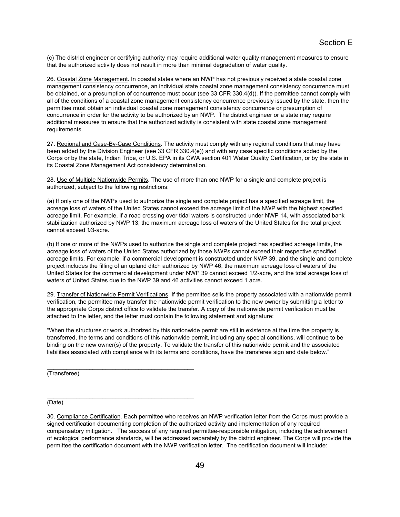(c) The district engineer or certifying authority may require additional water quality management measures to ensure that the authorized activity does not result in more than minimal degradation of water quality.

26. Coastal Zone Management. In coastal states where an NWP has not previously received a state coastal zone management consistency concurrence, an individual state coastal zone management consistency concurrence must be obtained, or a presumption of concurrence must occur (see 33 CFR 330.4(d)). If the permittee cannot comply with all of the conditions of a coastal zone management consistency concurrence previously issued by the state, then the permittee must obtain an individual coastal zone management consistency concurrence or presumption of concurrence in order for the activity to be authorized by an NWP. The district engineer or a state may require additional measures to ensure that the authorized activity is consistent with state coastal zone management requirements.

27. Regional and Case-By-Case Conditions. The activity must comply with any regional conditions that may have been added by the Division Engineer (see 33 CFR 330.4(e)) and with any case specific conditions added by the Corps or by the state, Indian Tribe, or U.S. EPA in its CWA section 401 Water Quality Certification, or by the state in its Coastal Zone Management Act consistency determination.

28. Use of Multiple Nationwide Permits. The use of more than one NWP for a single and complete project is authorized, subject to the following restrictions:

(a) If only one of the NWPs used to authorize the single and complete project has a specified acreage limit, the acreage loss of waters of the United States cannot exceed the acreage limit of the NWP with the highest specified acreage limit. For example, if a road crossing over tidal waters is constructed under NWP 14, with associated bank stabilization authorized by NWP 13, the maximum acreage loss of waters of the United States for the total project cannot exceed 1⁄3-acre.

(b) If one or more of the NWPs used to authorize the single and complete project has specified acreage limits, the acreage loss of waters of the United States authorized by those NWPs cannot exceed their respective specified acreage limits. For example, if a commercial development is constructed under NWP 39, and the single and complete project includes the filling of an upland ditch authorized by NWP 46, the maximum acreage loss of waters of the United States for the commercial development under NWP 39 cannot exceed 1/2-acre, and the total acreage loss of waters of United States due to the NWP 39 and 46 activities cannot exceed 1 acre.

29. Transfer of Nationwide Permit Verifications. If the permittee sells the property associated with a nationwide permit verification, the permittee may transfer the nationwide permit verification to the new owner by submitting a letter to the appropriate Corps district office to validate the transfer. A copy of the nationwide permit verification must be attached to the letter, and the letter must contain the following statement and signature:

"When the structures or work authorized by this nationwide permit are still in existence at the time the property is transferred, the terms and conditions of this nationwide permit, including any special conditions, will continue to be binding on the new owner(s) of the property. To validate the transfer of this nationwide permit and the associated liabilities associated with compliance with its terms and conditions, have the transferee sign and date below."

(Transferee)

\_\_\_\_\_\_\_\_\_\_\_\_\_\_\_\_\_\_\_\_\_\_\_\_\_\_\_\_\_\_\_\_\_\_\_\_\_\_\_\_\_\_\_\_\_

\_\_\_\_\_\_\_\_\_\_\_\_\_\_\_\_\_\_\_\_\_\_\_\_\_\_\_\_\_\_\_\_\_\_\_\_\_\_\_\_\_\_\_\_\_

(Date)

30. Compliance Certification. Each permittee who receives an NWP verification letter from the Corps must provide a signed certification documenting completion of the authorized activity and implementation of any required compensatory mitigation. The success of any required permittee-responsible mitigation, including the achievement of ecological performance standards, will be addressed separately by the district engineer. The Corps will provide the permittee the certification document with the NWP verification letter. The certification document will include: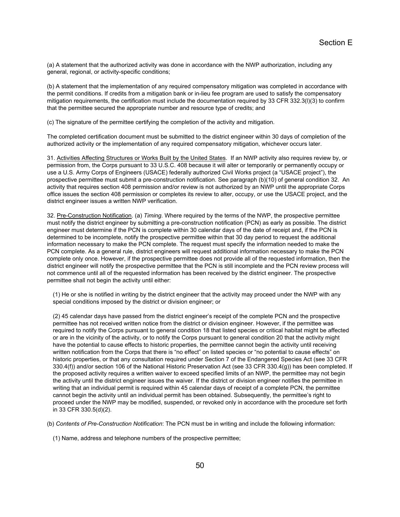(a) A statement that the authorized activity was done in accordance with the NWP authorization, including any general, regional, or activity-specific conditions;

(b) A statement that the implementation of any required compensatory mitigation was completed in accordance with the permit conditions. If credits from a mitigation bank or in-lieu fee program are used to satisfy the compensatory mitigation requirements, the certification must include the documentation required by 33 CFR 332.3(l)(3) to confirm that the permittee secured the appropriate number and resource type of credits; and

(c) The signature of the permittee certifying the completion of the activity and mitigation.

The completed certification document must be submitted to the district engineer within 30 days of completion of the authorized activity or the implementation of any required compensatory mitigation, whichever occurs later.

31. Activities Affecting Structures or Works Built by the United States. If an NWP activity also requires review by, or permission from, the Corps pursuant to 33 U.S.C. 408 because it will alter or temporarily or permanently occupy or use a U.S. Army Corps of Engineers (USACE) federally authorized Civil Works project (a "USACE project"), the prospective permittee must submit a pre-construction notification. See paragraph (b)(10) of general condition 32. An activity that requires section 408 permission and/or review is not authorized by an NWP until the appropriate Corps office issues the section 408 permission or completes its review to alter, occupy, or use the USACE project, and the district engineer issues a written NWP verification.

32. Pre-Construction Notification. (a) *Timing*. Where required by the terms of the NWP, the prospective permittee must notify the district engineer by submitting a pre-construction notification (PCN) as early as possible. The district engineer must determine if the PCN is complete within 30 calendar days of the date of receipt and, if the PCN is determined to be incomplete, notify the prospective permittee within that 30 day period to request the additional information necessary to make the PCN complete. The request must specify the information needed to make the PCN complete. As a general rule, district engineers will request additional information necessary to make the PCN complete only once. However, if the prospective permittee does not provide all of the requested information, then the district engineer will notify the prospective permittee that the PCN is still incomplete and the PCN review process will not commence until all of the requested information has been received by the district engineer. The prospective permittee shall not begin the activity until either:

(1) He or she is notified in writing by the district engineer that the activity may proceed under the NWP with any special conditions imposed by the district or division engineer; or

(2) 45 calendar days have passed from the district engineer's receipt of the complete PCN and the prospective permittee has not received written notice from the district or division engineer. However, if the permittee was required to notify the Corps pursuant to general condition 18 that listed species or critical habitat might be affected or are in the vicinity of the activity, or to notify the Corps pursuant to general condition 20 that the activity might have the potential to cause effects to historic properties, the permittee cannot begin the activity until receiving written notification from the Corps that there is "no effect" on listed species or "no potential to cause effects" on historic properties, or that any consultation required under Section 7 of the Endangered Species Act (see 33 CFR 330.4(f)) and/or section 106 of the National Historic Preservation Act (see 33 CFR 330.4(g)) has been completed. If the proposed activity requires a written waiver to exceed specified limits of an NWP, the permittee may not begin the activity until the district engineer issues the waiver. If the district or division engineer notifies the permittee in writing that an individual permit is required within 45 calendar days of receipt of a complete PCN, the permittee cannot begin the activity until an individual permit has been obtained. Subsequently, the permittee's right to proceed under the NWP may be modified, suspended, or revoked only in accordance with the procedure set forth in 33 CFR 330.5(d)(2).

(b) *Contents of Pre-Construction Notification*: The PCN must be in writing and include the following information:

(1) Name, address and telephone numbers of the prospective permittee;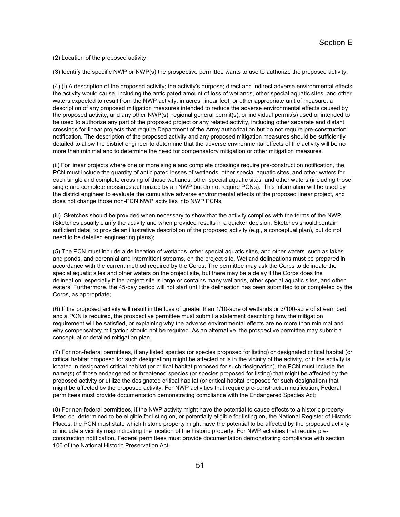(2) Location of the proposed activity;

(3) Identify the specific NWP or NWP(s) the prospective permittee wants to use to authorize the proposed activity;

(4) (i) A description of the proposed activity; the activity's purpose; direct and indirect adverse environmental effects the activity would cause, including the anticipated amount of loss of wetlands, other special aquatic sites, and other waters expected to result from the NWP activity, in acres, linear feet, or other appropriate unit of measure; a description of any proposed mitigation measures intended to reduce the adverse environmental effects caused by the proposed activity; and any other NWP(s), regional general permit(s), or individual permit(s) used or intended to be used to authorize any part of the proposed project or any related activity, including other separate and distant crossings for linear projects that require Department of the Army authorization but do not require pre-construction notification. The description of the proposed activity and any proposed mitigation measures should be sufficiently detailed to allow the district engineer to determine that the adverse environmental effects of the activity will be no more than minimal and to determine the need for compensatory mitigation or other mitigation measures.

(ii) For linear projects where one or more single and complete crossings require pre-construction notification, the PCN must include the quantity of anticipated losses of wetlands, other special aquatic sites, and other waters for each single and complete crossing of those wetlands, other special aquatic sites, and other waters (including those single and complete crossings authorized by an NWP but do not require PCNs). This information will be used by the district engineer to evaluate the cumulative adverse environmental effects of the proposed linear project, and does not change those non-PCN NWP activities into NWP PCNs.

(iii) Sketches should be provided when necessary to show that the activity complies with the terms of the NWP. (Sketches usually clarify the activity and when provided results in a quicker decision. Sketches should contain sufficient detail to provide an illustrative description of the proposed activity (e.g., a conceptual plan), but do not need to be detailed engineering plans);

(5) The PCN must include a delineation of wetlands, other special aquatic sites, and other waters, such as lakes and ponds, and perennial and intermittent streams, on the project site. Wetland delineations must be prepared in accordance with the current method required by the Corps. The permittee may ask the Corps to delineate the special aquatic sites and other waters on the project site, but there may be a delay if the Corps does the delineation, especially if the project site is large or contains many wetlands, other special aquatic sites, and other waters. Furthermore, the 45-day period will not start until the delineation has been submitted to or completed by the Corps, as appropriate;

(6) If the proposed activity will result in the loss of greater than 1/10-acre of wetlands or 3/100-acre of stream bed and a PCN is required, the prospective permittee must submit a statement describing how the mitigation requirement will be satisfied, or explaining why the adverse environmental effects are no more than minimal and why compensatory mitigation should not be required. As an alternative, the prospective permittee may submit a conceptual or detailed mitigation plan.

(7) For non-federal permittees, if any listed species (or species proposed for listing) or designated critical habitat (or critical habitat proposed for such designation) might be affected or is in the vicinity of the activity, or if the activity is located in designated critical habitat (or critical habitat proposed for such designation), the PCN must include the name(s) of those endangered or threatened species (or species proposed for listing) that might be affected by the proposed activity or utilize the designated critical habitat (or critical habitat proposed for such designation) that might be affected by the proposed activity. For NWP activities that require pre-construction notification, Federal permittees must provide documentation demonstrating compliance with the Endangered Species Act;

(8) For non-federal permittees, if the NWP activity might have the potential to cause effects to a historic property listed on, determined to be eligible for listing on, or potentially eligible for listing on, the National Register of Historic Places, the PCN must state which historic property might have the potential to be affected by the proposed activity or include a vicinity map indicating the location of the historic property. For NWP activities that require preconstruction notification, Federal permittees must provide documentation demonstrating compliance with section 106 of the National Historic Preservation Act;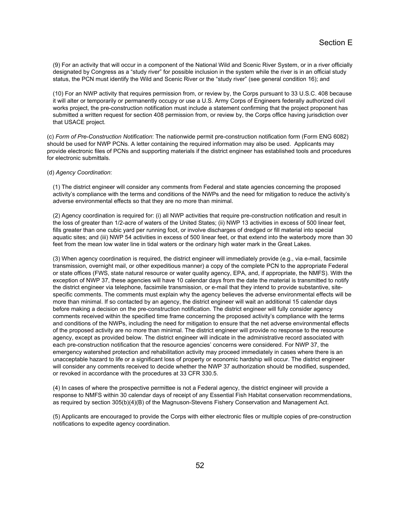(9) For an activity that will occur in a component of the National Wild and Scenic River System, or in a river officially designated by Congress as a "study river" for possible inclusion in the system while the river is in an official study status, the PCN must identify the Wild and Scenic River or the "study river" (see general condition 16); and

(10) For an NWP activity that requires permission from, or review by, the Corps pursuant to 33 U.S.C. 408 because it will alter or temporarily or permanently occupy or use a U.S. Army Corps of Engineers federally authorized civil works project, the pre-construction notification must include a statement confirming that the project proponent has submitted a written request for section 408 permission from, or review by, the Corps office having jurisdiction over that USACE project.

(c) *Form of Pre-Construction Notification*: The nationwide permit pre-construction notification form (Form ENG 6082) should be used for NWP PCNs. A letter containing the required information may also be used. Applicants may provide electronic files of PCNs and supporting materials if the district engineer has established tools and procedures for electronic submittals.

### (d) *Agency Coordination*:

(1) The district engineer will consider any comments from Federal and state agencies concerning the proposed activity's compliance with the terms and conditions of the NWPs and the need for mitigation to reduce the activity's adverse environmental effects so that they are no more than minimal.

(2) Agency coordination is required for: (i) all NWP activities that require pre-construction notification and result in the loss of greater than 1/2-acre of waters of the United States; (ii) NWP 13 activities in excess of 500 linear feet, fills greater than one cubic yard per running foot, or involve discharges of dredged or fill material into special aquatic sites; and (iii) NWP 54 activities in excess of 500 linear feet, or that extend into the waterbody more than 30 feet from the mean low water line in tidal waters or the ordinary high water mark in the Great Lakes.

(3) When agency coordination is required, the district engineer will immediately provide (e.g., via e-mail, facsimile transmission, overnight mail, or other expeditious manner) a copy of the complete PCN to the appropriate Federal or state offices (FWS, state natural resource or water quality agency, EPA, and, if appropriate, the NMFS). With the exception of NWP 37, these agencies will have 10 calendar days from the date the material is transmitted to notify the district engineer via telephone, facsimile transmission, or e-mail that they intend to provide substantive, sitespecific comments. The comments must explain why the agency believes the adverse environmental effects will be more than minimal. If so contacted by an agency, the district engineer will wait an additional 15 calendar days before making a decision on the pre-construction notification. The district engineer will fully consider agency comments received within the specified time frame concerning the proposed activity's compliance with the terms and conditions of the NWPs, including the need for mitigation to ensure that the net adverse environmental effects of the proposed activity are no more than minimal. The district engineer will provide no response to the resource agency, except as provided below. The district engineer will indicate in the administrative record associated with each pre-construction notification that the resource agencies' concerns were considered. For NWP 37, the emergency watershed protection and rehabilitation activity may proceed immediately in cases where there is an unacceptable hazard to life or a significant loss of property or economic hardship will occur. The district engineer will consider any comments received to decide whether the NWP 37 authorization should be modified, suspended, or revoked in accordance with the procedures at 33 CFR 330.5.

(4) In cases of where the prospective permittee is not a Federal agency, the district engineer will provide a response to NMFS within 30 calendar days of receipt of any Essential Fish Habitat conservation recommendations, as required by section 305(b)(4)(B) of the Magnuson-Stevens Fishery Conservation and Management Act.

(5) Applicants are encouraged to provide the Corps with either electronic files or multiple copies of pre-construction notifications to expedite agency coordination.